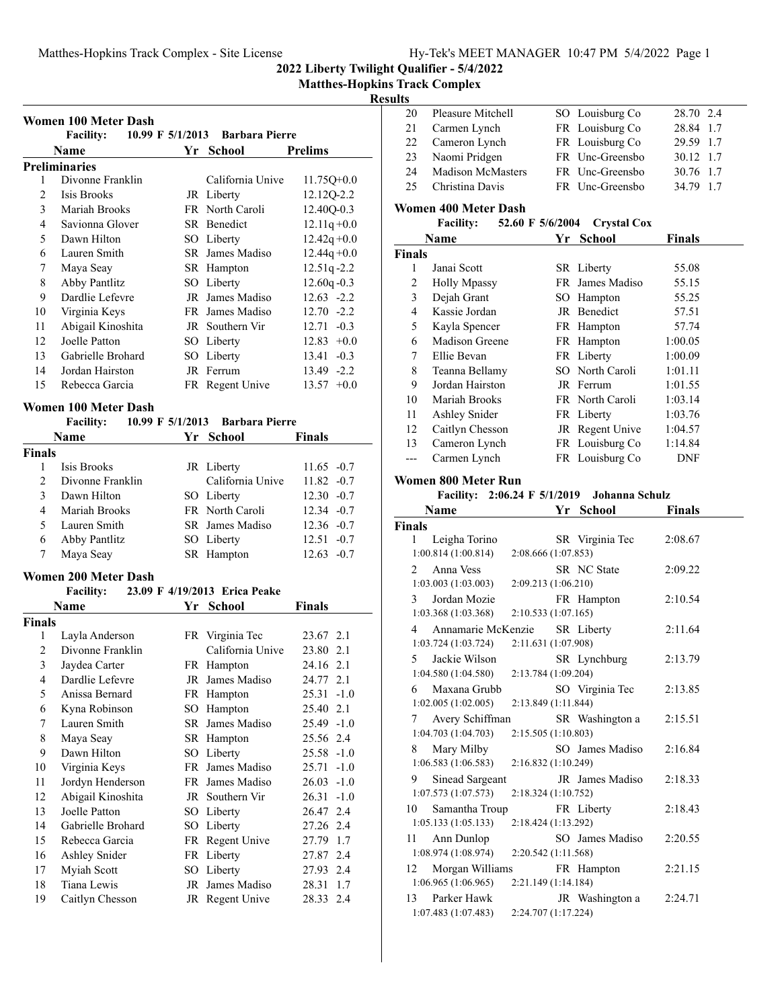**2022 Liberty Twilight Qualifier - 5/4/2022**

## **Results**

|                | Women 100 Meter Dash                      |    |                                 |                 |
|----------------|-------------------------------------------|----|---------------------------------|-----------------|
|                | <b>Facility:</b>                          |    | 10.99 F 5/1/2013 Barbara Pierre |                 |
|                | <b>Name</b>                               |    | Yr School                       | <b>Prelims</b>  |
|                | <b>Preliminaries</b>                      |    |                                 |                 |
| 1              | Divonne Franklin                          |    | California Unive                | $11.75Q+0.0$    |
| 2              | Isis Brooks                               |    | JR Liberty                      | 12.12Q-2.2      |
| 3              | Mariah Brooks                             |    | FR North Caroli                 | 12.40Q-0.3      |
| 4              | Savionna Glover                           |    | SR Benedict                     | $12.11q + 0.0$  |
| 5              | Dawn Hilton                               |    | SO Liberty                      | $12.42q + 0.0$  |
| 6              | Lauren Smith                              |    | SR James Madiso                 | $12.44q + 0.0$  |
| 7              | Maya Seay                                 |    | SR Hampton                      | 12.51q-2.2      |
| 8              | Abby Pantlitz                             |    | SO Liberty                      | $12.60q - 0.3$  |
| 9              | Dardlie Lefevre                           |    | JR James Madiso                 | $12.63 - 2.2$   |
| 10             | Virginia Keys                             |    | FR James Madiso                 | $12.70 - 2.2$   |
| 11             | Abigail Kinoshita                         |    | JR Southern Vir                 | $12.71 - 0.3$   |
| 12             | Joelle Patton                             |    | SO Liberty                      | $12.83 + 0.0$   |
| 13             | <b>Gabrielle Brohard</b>                  |    | SO Liberty                      | $13.41 - 0.3$   |
| 14             | Jordan Hairston                           |    | JR Ferrum                       | 13.49 -2.2      |
| 15             | Rebecca Garcia                            |    | FR Regent Unive                 | $13.57 +0.0$    |
|                |                                           |    |                                 |                 |
|                | <b>Women 100 Meter Dash</b>               |    |                                 |                 |
|                | Facility: 10.99 F 5/1/2013 Barbara Pierre |    |                                 |                 |
|                | Name                                      |    | Yr School                       | Finals          |
| <b>Finals</b>  |                                           |    |                                 |                 |
| 1              | Isis Brooks                               |    | JR Liberty                      | $11.65 - 0.7$   |
| $\overline{2}$ | Divonne Franklin                          |    | California Unive                | $11.82 -0.7$    |
| 3              | Dawn Hilton                               |    | SO Liberty                      | $12.30 -0.7$    |
| 4              | Mariah Brooks                             |    | FR North Caroli                 | $12.34 -0.7$    |
| 5              | Lauren Smith                              |    | SR James Madiso                 | $12.36 -0.7$    |
| 6              | Abby Pantlitz                             |    | SO Liberty                      | $12.51 - 0.7$   |
| 7              | Maya Seay                                 |    | SR Hampton                      | $12.63 - 0.7$   |
|                | <b>Women 200 Meter Dash</b>               |    |                                 |                 |
|                | <b>Facility:</b>                          |    | 23.09 F 4/19/2013 Erica Peake   |                 |
|                | Name                                      |    | Yr School                       | <b>Finals</b>   |
| <b>Finals</b>  |                                           |    |                                 |                 |
| 1              | Layla Anderson                            |    | FR Virginia Tec                 | 23.67 2.1       |
| 2              | Divonne Franklin                          |    | California Unive                | 23.80 2.1       |
| 3              | Jaydea Carter                             |    | FR Hampton                      | 24.16 2.1       |
| $\overline{4}$ | Dardlie Lefevre                           |    | JR James Madiso                 | 24.77 2.1       |
| 5              | Anissa Bernard                            |    | FR Hampton                      | 25.31<br>$-1.0$ |
| 6              | Kyna Robinson                             |    | SO Hampton                      | 2.1<br>25.40    |
| 7              | Lauren Smith                              |    | SR James Madiso                 | $-1.0$<br>25.49 |
| 8              | Maya Seay                                 |    | SR Hampton                      | 25.56 2.4       |
| 9              | Dawn Hilton                               |    | SO Liberty                      | 25.58<br>$-1.0$ |
| 10             | Virginia Keys                             | FR | James Madiso                    | 25.71<br>$-1.0$ |
| 11             | Jordyn Henderson                          |    | FR James Madiso                 | 26.03<br>$-1.0$ |
| 12             | Abigail Kinoshita                         |    | JR Southern Vir                 | 26.31<br>$-1.0$ |
| 13             | Joelle Patton                             |    | SO Liberty                      | 2.4<br>26.47    |
| 14             | Gabrielle Brohard                         |    | SO Liberty                      | 2.4<br>27.26    |
| 15             | Rebecca Garcia                            |    | FR Regent Unive                 | 27.79<br>1.7    |
| 16             | Ashley Snider                             |    | FR Liberty                      | 27.87<br>2.4    |
| 17             | Myiah Scott                               |    | SO Liberty                      | 27.93<br>2.4    |
| 18             | Tiana Lewis                               | JR | James Madiso                    | 28.31<br>1.7    |
| 19             | Caitlyn Chesson                           |    | JR Regent Unive                 | 28.33 2.4       |
|                |                                           |    |                                 |                 |

| 20 | Pleasure Mitchell        | SO Louisburg Co | 28.70 2.4 |  |
|----|--------------------------|-----------------|-----------|--|
| 21 | Carmen Lynch             | FR Louisburg Co | 28.84 1.7 |  |
|    | 22 Cameron Lynch         | FR Louisburg Co | 29.59 1.7 |  |
|    | 23 Naomi Pridgen         | FR Unc-Greensbo | 30.12 1.7 |  |
| 24 | <b>Madison McMasters</b> | FR Unc-Greensbo | 30.76 1.7 |  |
| 25 | Christina Davis          | FR Unc-Greensbo | 34.79 1.7 |  |
|    |                          |                 |           |  |

## **Women 400 Meter Dash**

|        | 52.60 F 5/6/2004<br><b>Facility:</b> |    | <b>Crystal Cox</b> |               |  |
|--------|--------------------------------------|----|--------------------|---------------|--|
|        | Name                                 | Yr | <b>School</b>      | <b>Finals</b> |  |
| Finals |                                      |    |                    |               |  |
| 1      | Janai Scott                          |    | SR Liberty         | 55.08         |  |
| 2      | <b>Holly Mpassy</b>                  |    | FR James Madiso    | 55.15         |  |
| 3      | Dejah Grant                          |    | SO Hampton         | 55.25         |  |
| 4      | Kassie Jordan                        |    | JR Benedict        | 57.51         |  |
| 5      | Kayla Spencer                        |    | FR Hampton         | 57.74         |  |
| 6      | Madison Greene                       |    | FR Hampton         | 1:00.05       |  |
| 7      | Ellie Bevan                          |    | FR Liberty         | 1:00.09       |  |
| 8      | Teanna Bellamy                       |    | SO North Caroli    | 1:01.11       |  |
| 9      | Jordan Hairston                      |    | JR Ferrum          | 1:01.55       |  |
| 10     | Mariah Brooks                        |    | FR North Caroli    | 1:03.14       |  |
| 11     | Ashley Snider                        |    | FR Liberty         | 1:03.76       |  |
| 12     | Caitlyn Chesson                      |    | JR Regent Unive    | 1:04.57       |  |
| 13     | Cameron Lynch                        |    | FR Louisburg Co    | 1:14.84       |  |
|        | Carmen Lynch                         |    | FR Louisburg Co    | DNF           |  |

#### **Women 800 Meter Run**

#### **Facility:** 2:06.24 **F** 5/1/2019 **Johanna Schulz**

| Name                                                       | Yr                  | <b>School</b>      | <b>Finals</b> |
|------------------------------------------------------------|---------------------|--------------------|---------------|
| Finals                                                     |                     |                    |               |
| Leigha Torino<br>1<br>1:00.814(1:00.814)                   | 2:08.666 (1:07.853) | SR Virginia Tec    | 2:08.67       |
| Anna Vess<br>$2^{\circ}$                                   |                     | <b>SR</b> NC State | 2:09.22       |
| 1:03.003(1:03.003)                                         | 2:09.213 (1:06.210) |                    |               |
| Jordan Mozie<br>$\mathcal{E}$<br>1:03.368(1:03.368)        | 2:10.533(1:07.165)  | FR Hampton         | 2:10.54       |
| Annamarie McKenzie<br>$\overline{4}$<br>1:03.724(1:03.724) | 2:11.631 (1:07.908) | SR Liberty         | 2:11.64       |
| Jackie Wilson<br>$5 -$<br>1:04.580(1:04.580)               | 2:13.784 (1:09.204) | SR Lynchburg       | 2:13.79       |
| Maxana Grubb<br>6<br>1:02.005(1:02.005)                    | 2:13.849 (1:11.844) | SO Virginia Tec    | 2:13.85       |
| Avery Schiffman<br>$7\degree$<br>1:04.703(1:04.703)        | 2:15.505(1:10.803)  | SR Washington a    | 2:15.51       |
| Mary Milby<br>8<br>1:06.583(1:06.583)                      | 2:16.832(1:10.249)  | SO James Madiso    | 2:16.84       |
| Sinead Sargeant<br>9<br>1:07.573(1:07.573)                 | 2:18.324 (1:10.752) | JR James Madiso    | 2:18.33       |
| Samantha Troup<br>10<br>1:05.133(1:05.133)                 | 2:18.424 (1:13.292) | FR Liberty         | 2:18.43       |
| Ann Dunlop<br>11<br>1:08.974(1:08.974)                     | 2:20.542 (1:11.568) | SO James Madiso    | 2:20.55       |
| Morgan Williams<br>12<br>1:06.965(1:06.965)                | 2:21.149 (1:14.184) | FR Hampton         | 2:21.15       |
| 13 <sup>7</sup><br>Parker Hawk<br>1:07.483(1:07.483)       | 2:24.707 (1:17.224) | JR Washington a    | 2:24.71       |
|                                                            |                     |                    |               |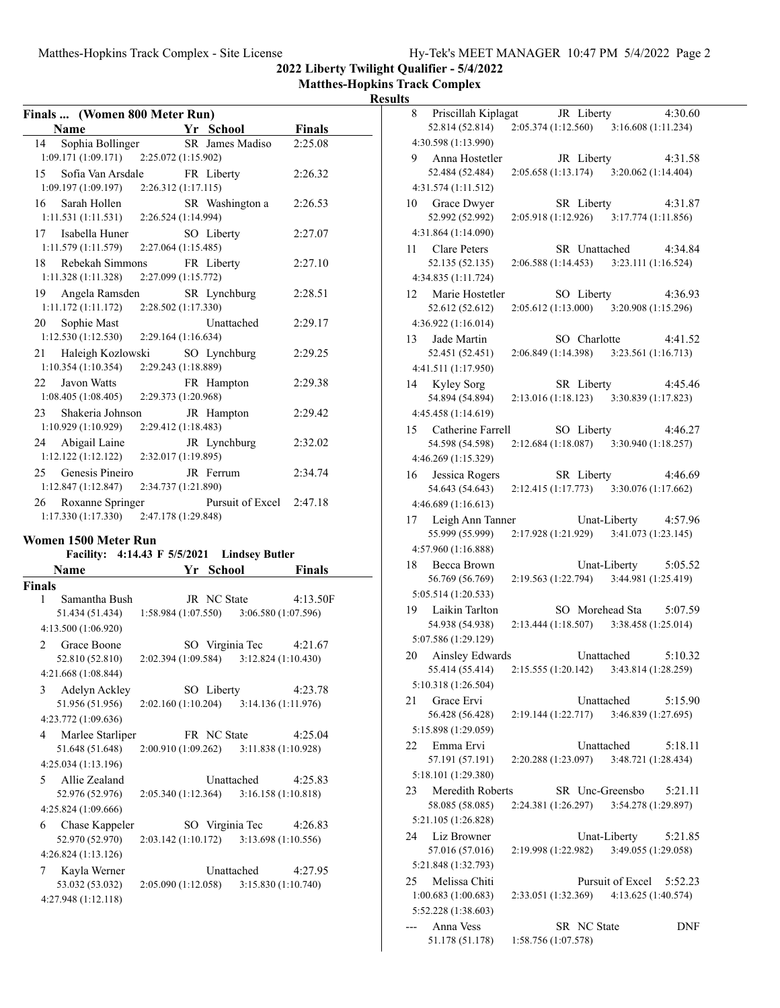|  | Hv-Tek's MEET MANAGER 10:47 PM 5/4/2022 Page 2 |  |  |
|--|------------------------------------------------|--|--|
|  |                                                |  |  |

**2022 Liberty Twilight Qualifier - 5/4/2022**

**Matthes-Hopkins Track Complex Results**

| Finals  (Women 800 Meter Run) |                                             |               |
|-------------------------------|---------------------------------------------|---------------|
| Name                          | Yr School                                   | <b>Finals</b> |
| Sophia Bollinger<br>14        | SR James Madiso                             | 2:25.08       |
| 1:09.171 (1:09.171)           | 2:25.072 (1:15.902)                         |               |
| Sofia Van Arsdale<br>15       | FR Liberty                                  | 2:26.32       |
| 1:09.197 (1:09.197)           | 2:26.312 (1:17.115)                         |               |
| Sarah Hollen<br>16            | SR Washington a                             | 2:26.53       |
| 1:11.531 (1:11.531)           | 2:26.524 (1:14.994)                         |               |
| Isabella Huner<br>17          | SO Liberty                                  | 2:27.07       |
| 1:11.579 (1:11.579)           | 2:27.064 (1:15.485)                         |               |
| Rebekah Simmons<br>18         | FR Liberty                                  | 2:27.10       |
| 1:11.328 (1:11.328)           | 2:27.099 (1:15.772)                         |               |
| Angela Ramsden<br>19          | SR Lynchburg                                | 2:28.51       |
| 1:11.172(1:11.172)            | 2:28.502 (1:17.330)                         |               |
| Sophie Mast<br>20             | Unattached                                  | 2:29.17       |
| 1:12.530 (1:12.530)           | 2:29.164 (1:16.634)                         |               |
| Haleigh Kozlowski<br>21       | SO Lynchburg                                | 2:29.25       |
| 1:10.354(1:10.354)            | 2:29.243 (1:18.889)                         |               |
| 22<br>Javon Watts             | FR Hampton                                  | 2:29.38       |
| 1:08.405 (1:08.405)           | 2:29.373 (1:20.968)                         |               |
| Shakeria Johnson<br>23.       | JR Hampton                                  | 2:29.42       |
| 1:10.929(1:10.929)            | 2:29.412 (1:18.483)                         |               |
| Abigail Laine<br>24           | JR Lynchburg                                | 2:32.02       |
| 1:12.122(1:12.122)            | 2:32.017 (1:19.895)                         |               |
| Genesis Pineiro<br>25         | JR Ferrum                                   | 2:34.74       |
| 1:12.847 (1:12.847)           | 2:34.737 (1:21.890)                         |               |
| 26<br>Roxanne Springer        | Pursuit of Excel                            | 2:47.18       |
| 1:17.330 (1:17.330)           | 2:47.178 (1:29.848)                         |               |
|                               |                                             |               |
|                               |                                             |               |
| Women 1500 Meter Run          |                                             |               |
| <b>Facility:</b>              | 4:14.43 F 5/5/2021<br><b>Lindsey Butler</b> |               |
| Name                          | Yr School                                   | Finals        |
| <b>Finals</b>                 |                                             |               |
| Samantha Bush<br>1            | JR NC State                                 | 4:13.50F      |
| 51.434 (51.434)               | $1:58.984(1:07.550)$ $3:06.580(1:07.596)$   |               |
| 4:13.500 (1:06.920)           |                                             |               |
| Grace Boone<br>2              | SO Virginia Tec                             | 4:21.67       |
| 52.810 (52.810)               | 2:02.394 (1:09.584)<br>3:12.824 (1:10.430)  |               |
| 4:21.668 (1:08.844)           |                                             |               |
| Adelyn Ackley<br>3            | SO Liberty                                  | 4:23.78       |
| 51.956 (51.956)               | 2:02.160 (1:10.204)<br>3:14.136 (1:11.976)  |               |
| 4:23.772 (1:09.636)           |                                             |               |
| Marlee Starliper<br>4         | FR NC State                                 | 4:25.04       |
| 51.648 (51.648)               | 2:00.910 (1:09.262)<br>3:11.838(1:10.928)   |               |
| 4:25.034 (1:13.196)           |                                             |               |
| Allie Zealand<br>5            | Unattached                                  | 4:25.83       |
| 52.976 (52.976)               | 2:05.340 (1:12.364)<br>3:16.158(1:10.818)   |               |
| 4:25.824 (1:09.666)           |                                             |               |
| Chase Kappeler<br>6           | SO Virginia Tec                             | 4:26.83       |
| 52.970 (52.970)               | 2:03.142 (1:10.172)<br>3:13.698 (1:10.556)  |               |
| 4:26.824 (1:13.126)           |                                             |               |
| Kayla Werner<br>7             | Unattached                                  | 4:27.95       |
| 53.032 (53.032)               | 2:05.090 (1:12.058)<br>3:15.830 (1:10.740)  |               |
| 4:27.948 (1:12.118)           |                                             |               |

|    | 8 Priscillah Kiplagat                                   |                     |               | JR Liberty                                | 4:30.60 |
|----|---------------------------------------------------------|---------------------|---------------|-------------------------------------------|---------|
|    | 52.814 (52.814)                                         |                     |               | $2:05.374(1:12.560)$ $3:16.608(1:11.234)$ |         |
|    | 4:30.598 (1:13.990)                                     |                     |               |                                           |         |
| 9  | Anna Hostetler                                          |                     |               | JR Liberty                                | 4:31.58 |
|    | 52.484 (52.484)                                         |                     |               | 2:05.658 (1:13.174) 3:20.062 (1:14.404)   |         |
|    | 4:31.574 (1:11.512)                                     |                     |               |                                           |         |
|    | 10 Grace Dwyer                                          |                     |               | SR Liberty                                | 4:31.87 |
|    | 52.992 (52.992)                                         |                     |               | 2:05.918 (1:12.926) 3:17.774 (1:11.856)   |         |
|    | 4:31.864 (1:14.090)                                     |                     |               |                                           |         |
| 11 | Clare Peters                                            |                     | SR Unattached |                                           | 4:34.84 |
|    | 52.135 (52.135)                                         |                     |               | 2:06.588 (1:14.453) 3:23.111 (1:16.524)   |         |
|    | 4:34.835 (1:11.724)                                     |                     |               |                                           |         |
|    | 12 Marie Hostetler                                      |                     | SO Liberty    |                                           | 4:36.93 |
|    | 52.612 (52.612)                                         |                     |               | 2:05.612 (1:13.000) 3:20.908 (1:15.296)   |         |
|    | 4:36.922 (1:16.014)                                     |                     |               |                                           |         |
| 13 | Jade Martin                                             |                     | SO Charlotte  |                                           | 4:41.52 |
|    | 52.451 (52.451)                                         |                     |               | 2:06.849 (1:14.398) 3:23.561 (1:16.713)   |         |
|    | 4:41.511 (1:17.950)                                     |                     |               |                                           |         |
|    | 14 Kyley Sorg                                           |                     |               | SR Liberty                                | 4:45.46 |
|    | 54.894 (54.894)                                         |                     |               | 2:13.016 (1:18.123) 3:30.839 (1:17.823)   |         |
|    | 4:45.458 (1:14.619)                                     |                     |               |                                           |         |
|    | 15 Catherine Farrell                                    |                     |               | SO Liberty                                | 4:46.27 |
|    | 54.598 (54.598)                                         |                     |               | 2:12.684 (1:18.087) 3:30.940 (1:18.257)   |         |
|    | 4:46.269 (1:15.329)                                     |                     |               |                                           |         |
|    | 16 Jessica Rogers                                       |                     |               | SR Liberty                                | 4:46.69 |
|    | 54.643 (54.643) 2:12.415 (1:17.773) 3:30.076 (1:17.662) |                     |               |                                           |         |
|    | 4:46.689 (1:16.613)                                     |                     |               |                                           |         |
| 17 | Leigh Ann Tanner                                        |                     |               | Unat-Liberty                              | 4:57.96 |
|    | 55.999 (55.999)                                         |                     |               | 2:17.928 (1:21.929) 3:41.073 (1:23.145)   |         |
|    | 4:57.960 (1:16.888)                                     |                     |               |                                           |         |
| 18 | Becca Brown                                             |                     |               | Unat-Liberty                              | 5:05.52 |
|    | 56.769 (56.769)                                         |                     |               | $2:19.563(1:22.794)$ $3:44.981(1:25.419)$ |         |
|    | 5:05.514 (1:20.533)                                     |                     |               |                                           |         |
| 19 | Laikin Tarlton                                          |                     |               | SO Morehead Sta                           | 5:07.59 |
|    | 54.938 (54.938)                                         |                     |               | $2:13.444(1:18.507)$ $3:38.458(1:25.014)$ |         |
|    | 5:07.586 (1:29.129)                                     |                     |               |                                           |         |
|    |                                                         |                     |               |                                           |         |
| 20 | Ainsley Edwards<br>55.414 (55.414)                      |                     | Unattached    | $2:15.555(1:20.142)$ $3:43.814(1:28.259)$ | 5:10.32 |
|    |                                                         |                     |               |                                           |         |
|    | 5:10.318 (1:26.504)                                     |                     |               |                                           |         |
| 21 | Grace Ervi                                              |                     | Unattached    |                                           | 5:15.90 |
|    | 56.428 (56.428)                                         | 2:19.144 (1:22.717) |               | 3:46.839 (1:27.695)                       |         |
|    | 5:15.898 (1:29.059)                                     |                     |               |                                           |         |
| 22 | Emma Ervi                                               |                     | Unattached    |                                           | 5:18.11 |
|    | 57.191 (57.191)                                         | 2:20.288 (1:23.097) |               | 3:48.721 (1:28.434)                       |         |
|    | 5:18.101 (1:29.380)                                     |                     |               |                                           |         |
| 23 | Meredith Roberts                                        |                     |               | SR Unc-Greensbo                           | 5:21.11 |
|    | 58.085 (58.085)                                         | 2:24.381(1:26.297)  |               | 3:54.278 (1:29.897)                       |         |
|    | 5:21.105 (1:26.828)                                     |                     |               |                                           |         |
| 24 | Liz Browner                                             |                     | Unat-Liberty  |                                           | 5:21.85 |
|    | 57.016 (57.016)                                         | 2:19.998 (1:22.982) |               | 3:49.055 (1:29.058)                       |         |
|    | 5:21.848 (1:32.793)                                     |                     |               |                                           |         |
| 25 | Melissa Chiti                                           |                     |               | Pursuit of Excel                          | 5:52.23 |
|    | 1:00.683(1:00.683)                                      | 2:33.051 (1:32.369) |               | 4:13.625 (1:40.574)                       |         |
|    | 5:52.228 (1:38.603)                                     |                     |               |                                           |         |
|    | Anna Vess                                               |                     | SR NC State   |                                           | DNF     |
|    | 51.178 (51.178)                                         | 1:58.756 (1:07.578) |               |                                           |         |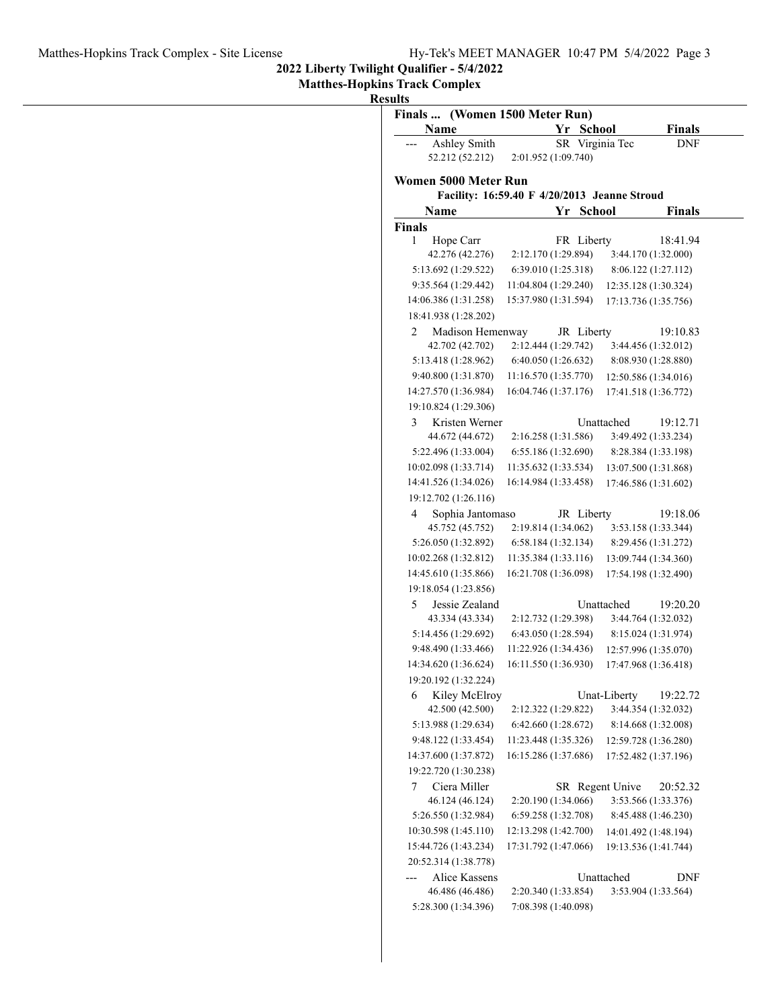**2022 Liberty Twilight Qualifier - 5/4/2022**

**Results**

| (Women 1500 Meter Run)<br>Finals |                                              |                             |  |  |  |
|----------------------------------|----------------------------------------------|-----------------------------|--|--|--|
| Name                             | Yr School                                    | Finals                      |  |  |  |
| Ashley Smith                     | SR Virginia Tec                              | <b>DNF</b>                  |  |  |  |
| 52.212 (52.212)                  | 2:01.952 (1:09.740)                          |                             |  |  |  |
| Women 5000 Meter Run             |                                              |                             |  |  |  |
|                                  | Facility: 16:59.40 F 4/20/2013 Jeanne Stroud |                             |  |  |  |
| Name                             | <b>School</b><br>Yr                          | Finals                      |  |  |  |
| <b>Finals</b>                    |                                              |                             |  |  |  |
| 1<br>Hope Carr                   | FR Liberty                                   | 18:41.94                    |  |  |  |
| 42.276 (42.276)                  | 2:12.170 (1:29.894)                          | 3:44.170 (1:32.000)         |  |  |  |
| 5:13.692 (1:29.522)              | 6:39.010(1:25.318)                           | 8:06.122 (1:27.112)         |  |  |  |
| 9:35.564 (1:29.442)              | 11:04.804 (1:29.240)                         | 12:35.128 (1:30.324)        |  |  |  |
| 14:06.386 (1:31.258)             | 15:37.980 (1:31.594)                         | 17:13.736 (1:35.756)        |  |  |  |
| 18:41.938 (1:28.202)             |                                              |                             |  |  |  |
| 2<br>Madison Hemenway            | JR Liberty                                   | 19:10.83                    |  |  |  |
| 42.702 (42.702)                  | 2:12.444 (1:29.742)                          | 3:44.456 (1:32.012)         |  |  |  |
| 5:13.418 (1:28.962)              | 6:40.050 (1:26.632)                          | 8:08.930 (1:28.880)         |  |  |  |
| 9:40.800 (1:31.870)              | 11:16.570 (1:35.770)                         | 12:50.586 (1:34.016)        |  |  |  |
| 14:27.570 (1:36.984)             | 16:04.746 (1:37.176)                         | 17:41.518 (1:36.772)        |  |  |  |
| 19:10.824 (1:29.306)             |                                              |                             |  |  |  |
| 3<br>Kristen Werner              |                                              | Unattached<br>19:12.71      |  |  |  |
| 44.672 (44.672)                  | 2:16.258 (1:31.586)                          | 3:49.492 (1:33.234)         |  |  |  |
| 5:22.496 (1:33.004)              | 6:55.186 (1:32.690)                          | 8:28.384 (1:33.198)         |  |  |  |
| 10:02.098 (1:33.714)             | 11:35.632 (1:33.534)                         | 13:07.500 (1:31.868)        |  |  |  |
| 14:41.526 (1:34.026)             | 16:14.984 (1:33.458)                         | 17:46.586 (1:31.602)        |  |  |  |
| 19:12.702 (1:26.116)             |                                              |                             |  |  |  |
| 4<br>Sophia Jantomaso            | JR Liberty                                   | 19:18.06                    |  |  |  |
| 45.752 (45.752)                  | 2:19.814 (1:34.062)                          | 3:53.158 (1:33.344)         |  |  |  |
| 5:26.050 (1:32.892)              | 6:58.184(1:32.134)                           | 8:29.456 (1:31.272)         |  |  |  |
| 10:02.268 (1:32.812)             | 11:35.384 (1:33.116)                         | 13:09.744 (1:34.360)        |  |  |  |
| 14:45.610 (1:35.866)             | 16:21.708 (1:36.098)                         | 17:54.198 (1:32.490)        |  |  |  |
| 19:18.054 (1:23.856)             |                                              |                             |  |  |  |
| 5<br>Jessie Zealand              |                                              | Unattached<br>19:20.20      |  |  |  |
| 43.334 (43.334)                  | 2:12.732 (1:29.398)                          | 3:44.764 (1:32.032)         |  |  |  |
| 5:14.456 (1:29.692)              | 6:43.050 (1:28.594)                          | 8:15.024 (1:31.974)         |  |  |  |
| 9:48.490 (1:33.466)              | 11:22.926 (1:34.436)                         | 12:57.996 (1:35.070)        |  |  |  |
| 14:34.620 (1:36.624)             | 16:11.550 (1:36.930)                         | 17:47.968 (1:36.418)        |  |  |  |
| 19:20.192 (1:32.224)             |                                              |                             |  |  |  |
| 6<br>Kiley McElroy               |                                              | Unat-Liberty<br>19:22.72    |  |  |  |
| 42.500 (42.500)                  | 2:12.322 (1:29.822)                          | 3:44.354 (1:32.032)         |  |  |  |
| 5:13.988 (1:29.634)              | 6:42.660(1:28.672)                           | 8:14.668 (1:32.008)         |  |  |  |
| 9:48.122 (1:33.454)              | 11:23.448 (1:35.326)                         | 12:59.728 (1:36.280)        |  |  |  |
| 14:37.600 (1:37.872)             | 16:15.286 (1:37.686)                         | 17:52.482 (1:37.196)        |  |  |  |
| 19:22.720 (1:30.238)             |                                              |                             |  |  |  |
| Ciera Miller<br>7                |                                              | SR Regent Unive<br>20:52.32 |  |  |  |
| 46.124 (46.124)                  | 2:20.190 (1:34.066)                          | 3:53.566 (1:33.376)         |  |  |  |
| 5:26.550 (1:32.984)              | 6:59.258 (1:32.708)                          | 8:45.488 (1:46.230)         |  |  |  |
| 10:30.598 (1:45.110)             | 12:13.298 (1:42.700)                         | 14:01.492 (1:48.194)        |  |  |  |
| 15:44.726 (1:43.234)             | 17:31.792 (1:47.066)                         | 19:13.536 (1:41.744)        |  |  |  |
| 20:52.314 (1:38.778)             |                                              |                             |  |  |  |
| Alice Kassens                    |                                              | Unattached<br>DNF           |  |  |  |
| 46.486 (46.486)                  | 2:20.340 (1:33.854)                          | 3:53.904 (1:33.564)         |  |  |  |
| 5:28.300 (1:34.396)              | 7:08.398 (1:40.098)                          |                             |  |  |  |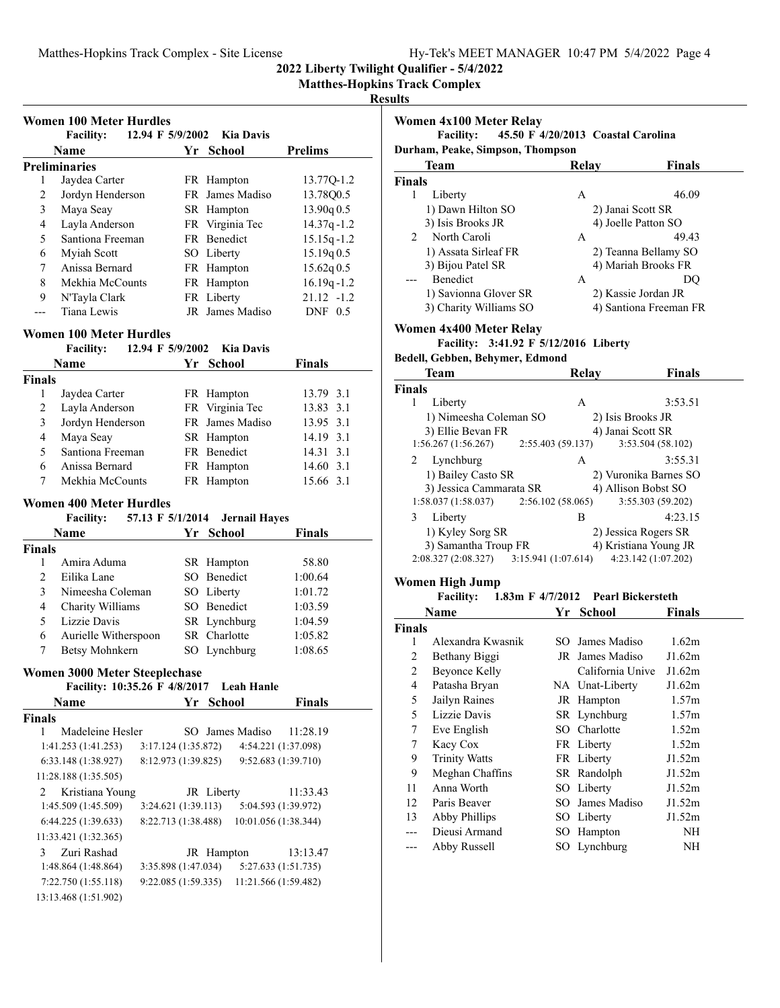**2022 Liberty Twilight Qualifier - 5/4/2022**

#### **Results**

|                | <b>Facility:</b><br>12.94 F 5/9/2002                                   |                     | Kia Davis                     |                      |
|----------------|------------------------------------------------------------------------|---------------------|-------------------------------|----------------------|
|                | Name                                                                   |                     | Yr School                     | <b>Prelims</b>       |
|                | <b>Preliminaries</b>                                                   |                     |                               |                      |
| 1              | Jaydea Carter<br>Jordyn Henderson                                      |                     | FR Hampton<br>FR James Madiso | 13.77Q-1.2           |
| 2              |                                                                        |                     |                               | 13.78Q0.5            |
| 3              | Maya Seay                                                              |                     | SR Hampton                    | 13.90q 0.5           |
| $\overline{4}$ | Layla Anderson                                                         |                     | FR Virginia Tec               | 14.37q-1.2           |
| 5              | Santiona Freeman                                                       |                     | FR Benedict                   | $15.15q - 1.2$       |
| 6              | Myiah Scott                                                            |                     | SO Liberty                    | 15.19q 0.5           |
| 7              | Anissa Bernard                                                         |                     | FR Hampton                    | 15.62q0.5            |
| 8              | Mekhia McCounts                                                        |                     | FR Hampton                    | $16.19q - 1.2$       |
| 9              | N'Tayla Clark                                                          |                     | FR Liberty                    | $21.12 -1.2$         |
| $---$          | Tiana Lewis                                                            |                     | JR James Madiso               | $DNF$ 0.5            |
|                | <b>Women 100 Meter Hurdles</b>                                         |                     |                               |                      |
|                | 12.94 F 5/9/2002<br><b>Facility:</b>                                   |                     | <b>Kia Davis</b>              |                      |
|                | Name                                                                   |                     | Yr School                     | <b>Finals</b>        |
| <b>Finals</b>  |                                                                        |                     |                               |                      |
| 1              | Jaydea Carter                                                          |                     | FR Hampton                    | 13.79 3.1            |
| 2              | Layla Anderson                                                         |                     | FR Virginia Tec               | 13.83 3.1            |
| 3              | Jordyn Henderson                                                       |                     | FR James Madiso               | 13.95 3.1            |
| $\overline{4}$ | Maya Seay                                                              |                     | SR Hampton                    | 14.19 3.1            |
| 5              | Santiona Freeman                                                       |                     | FR Benedict                   | 14.31 3.1            |
| 6              | Anissa Bernard                                                         |                     | FR Hampton                    | 14.60 3.1            |
| 7              | Mekhia McCounts                                                        |                     | FR Hampton                    | 15.66 3.1            |
|                |                                                                        |                     |                               |                      |
|                | <b>Women 400 Meter Hurdles</b><br><b>Facility:</b><br>57.13 F 5/1/2014 |                     | <b>Jernail Hayes</b>          |                      |
|                | <b>Name</b>                                                            |                     | Yr School                     | <b>Finals</b>        |
| <b>Finals</b>  |                                                                        |                     |                               |                      |
| 1              | Amira Aduma                                                            |                     | SR Hampton                    | 58.80                |
| $\overline{c}$ | Eilika Lane                                                            |                     | SO Benedict                   | 1:00.64              |
| 3              | Nimeesha Coleman                                                       |                     | SO Liberty                    | 1:01.72              |
| $\overline{4}$ | Charity Williams                                                       |                     | SO Benedict                   | 1:03.59              |
| 5              | Lizzie Davis                                                           |                     | SR Lynchburg                  | 1:04.59              |
| 6              | Aurielle Witherspoon                                                   |                     | SR Charlotte                  | 1:05.82              |
| 7              | <b>Betsy Mohnkern</b>                                                  |                     | SO Lynchburg                  | 1:08.65              |
|                |                                                                        |                     |                               |                      |
|                | <b>Women 3000 Meter Steeplechase</b>                                   |                     |                               |                      |
|                | Facility: 10:35.26 F 4/8/2017 Leah Hanle                               |                     |                               |                      |
|                | Name                                                                   |                     | Yr School                     | <b>Finals</b>        |
| <b>Finals</b>  |                                                                        |                     |                               |                      |
| 1              | Madeleine Hesler                                                       |                     | SO James Madiso               | 11:28.19             |
|                | 1:41.253 (1:41.253)                                                    | 3:17.124 (1:35.872) |                               | 4:54.221 (1:37.098)  |
|                | 6:33.148 (1:38.927)                                                    | 8:12.973 (1:39.825) |                               | 9:52.683 (1:39.710)  |
|                | 11:28.188 (1:35.505)                                                   |                     |                               |                      |
| 2              | Kristiana Young                                                        |                     | JR Liberty                    | 11:33.43             |
|                | 1:45.509 (1:45.509)                                                    | 3:24.621 (1:39.113) |                               | 5:04.593 (1:39.972)  |
|                | 6:44.225 (1:39.633)                                                    | 8:22.713 (1:38.488) |                               | 10:01.056 (1:38.344) |
|                | 11:33.421 (1:32.365)                                                   |                     |                               |                      |
| 3              | Zuri Rashad                                                            |                     | JR Hampton                    | 13:13.47             |

1:48.864 (1:48.864) 3:35.898 (1:47.034) 5:27.633 (1:51.735) 7:22.750 (1:55.118) 9:22.085 (1:59.335) 11:21.566 (1:59.482)

13:13.468 (1:51.902)

|                     | Women 4x100 Meter Relay                      |                  |                            |                                    |
|---------------------|----------------------------------------------|------------------|----------------------------|------------------------------------|
|                     | <b>Facility:</b>                             |                  |                            | 45.50 F 4/20/2013 Coastal Carolina |
|                     | Durham, Peake, Simpson, Thompson             |                  |                            |                                    |
|                     | Team                                         |                  | Relay                      | <b>Finals</b>                      |
| <b>Finals</b>       |                                              |                  |                            |                                    |
| 1                   | Liberty                                      |                  | A                          | 46.09                              |
|                     | 1) Dawn Hilton SO                            |                  |                            | 2) Janai Scott SR                  |
|                     | 3) Isis Brooks JR                            |                  |                            | 4) Joelle Patton SO                |
| 2                   | North Caroli                                 |                  | A                          | 49.43                              |
|                     | 1) Assata Sirleaf FR                         |                  |                            | 2) Teanna Bellamy SO               |
|                     | 3) Bijou Patel SR                            |                  |                            | 4) Mariah Brooks FR                |
|                     | Benedict                                     |                  | A                          | DQ                                 |
|                     | 1) Savionna Glover SR                        |                  |                            | 2) Kassie Jordan JR                |
|                     | 3) Charity Williams SO                       |                  |                            | 4) Santiona Freeman FR             |
|                     | Women 4x400 Meter Relay                      |                  |                            |                                    |
|                     | Facility: 3:41.92 F 5/12/2016 Liberty        |                  |                            |                                    |
|                     | Bedell, Gebben, Behymer, Edmond              |                  |                            |                                    |
|                     | Team                                         |                  | <b>Relay</b>               | <b>Finals</b>                      |
| <b>Finals</b>       |                                              |                  |                            |                                    |
| 1                   | Liberty                                      |                  | A                          | 3:53.51                            |
|                     | 1) Nimeesha Coleman SO                       |                  |                            | 2) Isis Brooks JR                  |
|                     | 3) Ellie Bevan FR                            |                  |                            | 4) Janai Scott SR                  |
|                     | 1:56.267(1:56.267)                           | 2:55.403(59.137) |                            | 3:53.504 (58.102)                  |
| 2                   | Lynchburg                                    |                  | $\mathsf{A}$               | 3:55.31                            |
|                     | 1) Bailey Casto SR                           |                  |                            | 2) Vuronika Barnes SO              |
|                     | 3) Jessica Cammarata SR                      |                  |                            | 4) Allison Bobst SO                |
|                     | 1:58.037 (1:58.037)                          | 2:56.102(58.065) |                            | 3:55.303 (59.202)                  |
|                     | 3 Liberty                                    |                  | B                          | 4:23.15                            |
|                     |                                              |                  |                            | 2) Jessica Rogers SR               |
|                     | 1) Kyley Sorg SR                             |                  |                            |                                    |
|                     | 3) Samantha Troup FR                         |                  |                            | 4) Kristiana Young JR              |
|                     | 2:08.327 (2:08.327) 3:15.941 (1:07.614)      |                  |                            | 4:23.142 (1:07.202)                |
|                     |                                              |                  |                            |                                    |
|                     | Women High Jump                              |                  |                            |                                    |
|                     | Facility: 1.83m F 4/7/2012 Pearl Bickersteth |                  |                            |                                    |
| Finals              | <b>Name</b>                                  |                  | <u>Yr School</u>           | <b>Finals</b>                      |
| 1                   | Alexandra Kwasnik                            |                  | SO James Madiso            | 1.62m                              |
| 2                   |                                              |                  | JR James Madiso            | J1.62m                             |
|                     | Bethany Biggi                                |                  |                            |                                    |
| $\overline{c}$<br>4 | <b>Beyonce Kelly</b>                         |                  | California Unive           | J1.62m                             |
|                     | Patasha Bryan                                |                  | NA Unat-Liberty            | J1.62m                             |
| 5                   | Jailyn Raines                                |                  | JR Hampton                 | 1.57m                              |
| 5                   | Lizzie Davis                                 |                  | SR Lynchburg               | 1.57m                              |
| $\tau$              | Eve English                                  |                  | SO Charlotte               | 1.52m                              |
| $\tau$              | Kacy Cox                                     |                  | FR Liberty                 | 1.52m                              |
| 9                   | <b>Trinity Watts</b>                         |                  | FR Liberty                 | J1.52m                             |
| 9                   | Meghan Chaffins                              |                  | SR Randolph                | J1.52m                             |
| 11                  | Anna Worth                                   | SO               | Liberty                    | J1.52m                             |
| 12                  | Paris Beaver                                 | SO               | James Madiso               | J1.52m                             |
| 13                  | <b>Abby Phillips</b>                         |                  | SO Liberty                 | J1.52m                             |
| ---<br>---          | Dieusi Armand<br>Abby Russell                |                  | SO Hampton<br>SO Lynchburg | NH<br>NH                           |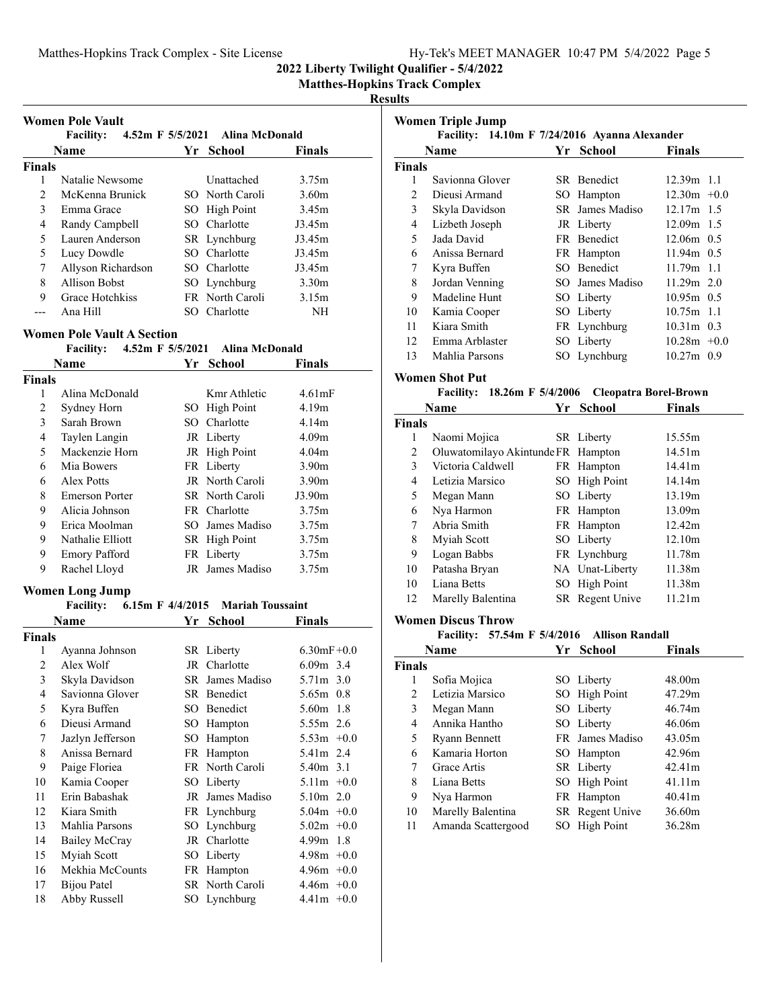## Matthes-Hopkins Track Complex - Site License Hy-Tek's MEET MANAGER 10:47 PM 5/4/2022 Page 5

**2022 Liberty Twilight Qualifier - 5/4/2022**

**Matthes-Hopkins Track Complex**

#### **Results**

|               | <b>Name</b>        | Yr School       | <b>Finals</b>     |
|---------------|--------------------|-----------------|-------------------|
| <b>Finals</b> |                    |                 |                   |
| 1             | Natalie Newsome    | Unattached      | 3.75m             |
| 2             | McKenna Brunick    | SO North Caroli | 3.60 <sub>m</sub> |
| 3             | Emma Grace         | SO High Point   | 3.45m             |
| 4             | Randy Campbell     | SO Charlotte    | J3.45m            |
| 5             | Lauren Anderson    | SR Lynchburg    | J3.45m            |
| 5             | Lucy Dowdle        | SO Charlotte    | J3.45m            |
| 7             | Allyson Richardson | SO Charlotte    | J3.45m            |
| 8             | Allison Bobst      | SO Lynchburg    | 3.30 <sub>m</sub> |
| 9             | Grace Hotchkiss    | FR North Caroli | 3.15m             |
|               | Ana Hill           | SO Charlotte    | NH                |

#### **Women Pole Vault A Section**

#### Facility: 4.52m F 5/5/2021 Alina McDonald

| Name          |                       | Yr - | <b>School</b>   | <b>Finals</b>     |  |
|---------------|-----------------------|------|-----------------|-------------------|--|
| <b>Finals</b> |                       |      |                 |                   |  |
| 1             | Alina McDonald        |      | Kmr Athletic    | 4.61mF            |  |
| 2             | Sydney Horn           |      | SO High Point   | 4.19m             |  |
| 3             | Sarah Brown           |      | SO Charlotte    | 4.14m             |  |
| 4             | Taylen Langin         |      | JR Liberty      | 4.09 <sub>m</sub> |  |
| 5             | Mackenzie Horn        |      | JR High Point   | 4.04 <sub>m</sub> |  |
| 6             | Mia Bowers            |      | FR Liberty      | 3.90 <sub>m</sub> |  |
| 6             | Alex Potts            |      | JR North Caroli | 3.90 <sub>m</sub> |  |
| 8             | <b>Emerson Porter</b> |      | SR North Caroli | J3.90m            |  |
| 9             | Alicia Johnson        |      | FR Charlotte    | 3.75m             |  |
| 9             | Erica Moolman         |      | SO James Madiso | 3.75m             |  |
| 9             | Nathalie Elliott      |      | SR High Point   | 3.75m             |  |
| 9             | Emory Pafford         |      | FR Liberty      | 3.75m             |  |
| 9             | Rachel Lloyd          |      | JR James Madiso | 3.75m             |  |

#### **Women Long Jump**

## **Facility:** 6.15m F 4/4/2015 Mariah Toussaint

| Name           |                  | Yr  | <b>School</b>   | Finals           |
|----------------|------------------|-----|-----------------|------------------|
| Finals         |                  |     |                 |                  |
| 1              | Ayanna Johnson   |     | SR Liberty      | $6.30$ mF $+0.0$ |
| $\overline{c}$ | Alex Wolf        | JR  | Charlotte       | $6.09m$ 3.4      |
| 3              | Skyla Davidson   | SR  | James Madiso    | 5.71m 3.0        |
| 4              | Savionna Glover  | SR  | Benedict        | 5.65m 0.8        |
| 5              | Kyra Buffen      | SО  | Benedict        | $5.60m$ 1.8      |
| 6              | Dieusi Armand    | SO  | Hampton         | 5.55m 2.6        |
| 7              | Jazlyn Jefferson | SО  | Hampton         | $5.53m +0.0$     |
| 8              | Anissa Bernard   | FR  | Hampton         | 5.41m 2.4        |
| 9              | Paige Floriea    |     | FR North Caroli | 5.40m 3.1        |
| 10             | Kamia Cooper     |     | SO Liberty      | $5.11m +0.0$     |
| 11             | Erin Babashak    | JR  | James Madiso    | $5.10m$ 2.0      |
| 12             | Kiara Smith      |     | FR Lynchburg    | $5.04m + 0.0$    |
| 13             | Mahlia Parsons   |     | SO Lynchburg    | $5.02m + 0.0$    |
| 14             | Bailey McCray    |     | JR Charlotte    | $4.99m$ 1.8      |
| 15             | Myiah Scott      | SO. | Liberty         | $4.98m +0.0$     |
| 16             | Mekhia McCounts  | FR  | Hampton         | $4.96m +0.0$     |
| 17             | Bijou Patel      |     | SR North Caroli | $4.46m +0.0$     |
| 18             | Abby Russell     |     | SO Lynchburg    | $4.41m +0.0$     |

| Women Triple Jump<br>Facility: 14.10m F 7/24/2016 Ayanna Alexander |                 |  |                 |                |  |  |
|--------------------------------------------------------------------|-----------------|--|-----------------|----------------|--|--|
|                                                                    | <b>Name</b>     |  | Yr School       | <b>Finals</b>  |  |  |
| <b>Finals</b>                                                      |                 |  |                 |                |  |  |
| 1                                                                  | Savionna Glover |  | SR Benedict     | $12.39m$ 1.1   |  |  |
| $\mathfrak{D}$                                                     | Dieusi Armand   |  | SO Hampton      | $12.30m +0.0$  |  |  |
| 3                                                                  | Skyla Davidson  |  | SR James Madiso | $12.17m$ 1.5   |  |  |
| 4                                                                  | Lizbeth Joseph  |  | JR Liberty      | $12.09m$ 1.5   |  |  |
| 5                                                                  | Jada David      |  | FR Benedict     | $12.06m$ 0.5   |  |  |
| 6                                                                  | Anissa Bernard  |  | FR Hampton      | $11.94m$ 0.5   |  |  |
| 7                                                                  | Kyra Buffen     |  | SO Benedict     | $11.79m$ 1.1   |  |  |
| 8                                                                  | Jordan Venning  |  | SO James Madiso | $11.29m$ 2.0   |  |  |
| 9                                                                  | Madeline Hunt   |  | SO Liberty      | $10.95m$ 0.5   |  |  |
| 10                                                                 | Kamia Cooper    |  | SO Liberty      | $10.75m$ 1.1   |  |  |
| 11                                                                 | Kiara Smith     |  | FR Lynchburg    | $10.31m$ 0.3   |  |  |
| 12                                                                 | Emma Arblaster  |  | SO Liberty      | $10.28m + 0.0$ |  |  |
| 13                                                                 | Mahlia Parsons  |  | SO Lynchburg    | $10.27m$ 0.9   |  |  |

## **Women Shot Put**

## **Facility:** 18.26m F 5/4/2006 Cleopatra Borel-Brown

| Name<br>Yr    |                                    | <b>School</b> | Finals          |        |
|---------------|------------------------------------|---------------|-----------------|--------|
| <b>Finals</b> |                                    |               |                 |        |
| 1             | Naomi Mojica                       |               | SR Liberty      | 15.55m |
| 2             | Oluwatomilayo Akintunde FR Hampton |               |                 | 14.51m |
| 3             | Victoria Caldwell                  |               | FR Hampton      | 14.41m |
| 4             | Letizia Marsico                    |               | SO High Point   | 14.14m |
| 5             | Megan Mann                         |               | SO Liberty      | 13.19m |
| 6             | Nya Harmon                         |               | FR Hampton      | 13.09m |
| 7             | Abria Smith                        |               | FR Hampton      | 12.42m |
| 8             | Myiah Scott                        |               | SO Liberty      | 12.10m |
| 9             | Logan Babbs                        |               | FR Lynchburg    | 11.78m |
| 10            | Patasha Bryan                      |               | NA Unat-Liberty | 11.38m |
| 10            | Liana Betts                        |               | SO High Point   | 11.38m |
| 12            | Marelly Balentina                  |               | SR Regent Unive | 11.21m |

#### **Women Discus Throw**

#### **Facility:** 57.54m F 5/4/2016 Allison Randall

| Name          |                      | Yr | <b>School</b>   | <b>Finals</b> |
|---------------|----------------------|----|-----------------|---------------|
| <b>Finals</b> |                      |    |                 |               |
| 1             | Sofia Mojica         |    | SO Liberty      | 48.00m        |
| 2             | Letizia Marsico      |    | SO High Point   | 47.29m        |
| 3             | Megan Mann           |    | SO Liberty      | 46.74m        |
| 4             | Annika Hantho        |    | SO Liberty      | 46.06m        |
| 5             | <b>Ryann Bennett</b> |    | FR James Madiso | 43.05m        |
| 6             | Kamaria Horton       |    | SO Hampton      | 42.96m        |
| 7             | Grace Artis          |    | SR Liberty      | 42.41m        |
| 8             | Liana Betts          |    | SO High Point   | 41.11m        |
| 9             | Nya Harmon           |    | FR Hampton      | 40.41m        |
| 10            | Marelly Balentina    |    | SR Regent Unive | 36.60m        |
| 11            | Amanda Scattergood   |    | SO High Point   | 36.28m        |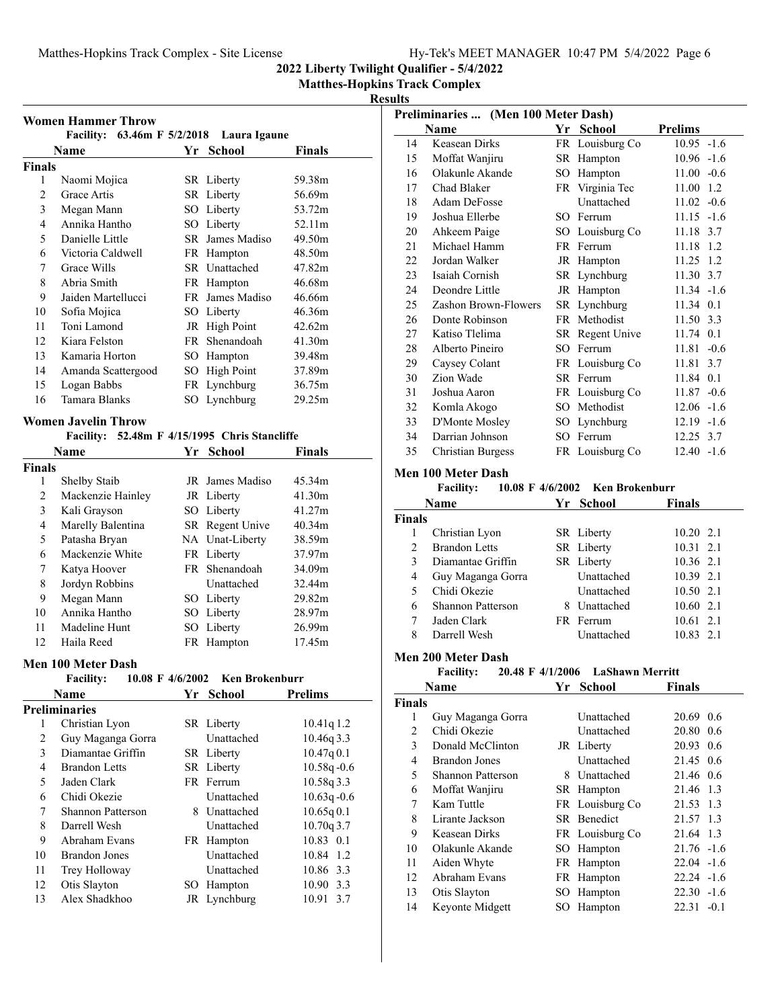## Matthes-Hopkins Track Complex - Site License Hy-Tek's MEET MANAGER 10:47 PM 5/4/2022 Page 6

**2022 Liberty Twilight Qualifier - 5/4/2022**

## **Matthes-Hopkins Track Complex**

## **Results**

| <b>Women Hammer Throw</b><br>Facility: $63.46m$ F $5/2/2018$ Laura Igaune |                                                          |     |                   |               |
|---------------------------------------------------------------------------|----------------------------------------------------------|-----|-------------------|---------------|
|                                                                           | Name                                                     |     | Yr School         | <b>Finals</b> |
| <b>Finals</b>                                                             |                                                          |     |                   |               |
| 1                                                                         | Naomi Mojica                                             |     | SR Liberty        | 59.38m        |
| 2                                                                         | Grace Artis                                              |     | SR Liberty        | 56.69m        |
| 3                                                                         | Megan Mann                                               |     | SO Liberty        | 53.72m        |
| 4                                                                         | Annika Hantho                                            |     | SO Liberty        | 52.11m        |
| 5                                                                         | Danielle Little                                          |     | SR James Madiso   | 49.50m        |
| 6                                                                         | Victoria Caldwell                                        |     | FR Hampton        | 48.50m        |
| 7                                                                         | Grace Wills                                              |     | SR Unattached     | 47.82m        |
| 8                                                                         | Abria Smith                                              |     | FR Hampton        | 46.68m        |
| 9                                                                         | Jaiden Martellucci                                       |     | FR James Madiso   | 46.66m        |
| 10                                                                        | Sofia Mojica                                             |     | SO Liberty        | 46.36m        |
| 11                                                                        | Toni Lamond                                              |     | JR High Point     | 42.62m        |
| 12                                                                        | Kiara Felston                                            |     | FR Shenandoah     | 41.30m        |
| 13                                                                        | Kamaria Horton                                           | SO. | Hampton           | 39.48m        |
| 14                                                                        | Amanda Scattergood                                       | SO. | <b>High Point</b> | 37.89m        |
| 15                                                                        | Logan Babbs                                              |     | FR Lynchburg      | 36.75m        |
| 16                                                                        | Tamara Blanks                                            |     | SO Lynchburg      | 29.25m        |
| <b>***</b>                                                                | $\mathbf{r}$ . The set of $\mathbf{r}$<br><b>CONTENT</b> |     |                   |               |

#### **Women Javelin Throw**

## Facility: 52.48m F 4/15/1995 Chris Stancliffe

| Name   |                   | Yr | <b>School</b>   | Finals             |  |
|--------|-------------------|----|-----------------|--------------------|--|
| Finals |                   |    |                 |                    |  |
| 1      | Shelby Staib      |    | JR James Madiso | 45.34m             |  |
| 2      | Mackenzie Hainley |    | JR Liberty      | 41.30m             |  |
| 3      | Kali Grayson      |    | SO Liberty      | 41.27m             |  |
| 4      | Marelly Balentina |    | SR Regent Unive | 40.34m             |  |
| 5      | Patasha Bryan     |    | NA Unat-Liberty | 38.59m             |  |
| 6      | Mackenzie White   |    | FR Liberty      | 37.97m             |  |
| 7      | Katya Hoover      |    | FR Shenandoah   | 34.09m             |  |
| 8      | Jordyn Robbins    |    | Unattached      | 32.44m             |  |
| 9      | Megan Mann        |    | SO Liberty      | 29.82m             |  |
| 10     | Annika Hantho     |    | SO Liberty      | 28.97m             |  |
| 11     | Madeline Hunt     |    | SO Liberty      | 26.99 <sub>m</sub> |  |
| 12     | Haila Reed        |    | FR Hampton      | 17.45m             |  |

### **Men 100 Meter Dash**

#### **Facility:** 10.08 F 4/6/2002 Ken Brokenburr

|    | Name                 | Yr  | <b>School</b>     | <b>Prelims</b> |
|----|----------------------|-----|-------------------|----------------|
|    | Preliminaries        |     |                   |                |
| 1  | Christian Lyon       |     | SR Liberty        | $10.41q$ 1.2   |
| 2  | Guy Maganga Gorra    |     | Unattached        | 10.46q3.3      |
| 3  | Diamantae Griffin    |     | SR Liberty        | 10.47q0.1      |
| 4  | <b>Brandon</b> Letts |     | SR Liberty        | $10.58q - 0.6$ |
| 5  | Jaden Clark          |     | FR Ferrum         | 10.58q 3.3     |
| 6  | Chidi Okezie         |     | Unattached        | $10.63q - 0.6$ |
| 7  | Shannon Patterson    |     | 8 Unattached      | 10.65q0.1      |
| 8  | Darrell Wesh         |     | Unattached        | 10.70q3.7      |
| 9  | Abraham Evans        |     | FR Hampton        | 10.83 0.1      |
| 10 | Brandon Jones        |     | <b>Unattached</b> | 10.84 1.2      |
| 11 | Trey Holloway        |     | Unattached        | 10.86 3.3      |
| 12 | Otis Slayton         | SO. | Hampton           | 10.90<br>3.3   |
| 13 | Alex Shadkhoo        |     | JR Lynchburg      | 10.91<br>3.7   |
|    |                      |     |                   |                |

| Preliminaries  (Men 100 Meter Dash) |                                      |     |                       |                 |  |
|-------------------------------------|--------------------------------------|-----|-----------------------|-----------------|--|
|                                     | Name                                 |     | Yr School             | <b>Prelims</b>  |  |
| 14                                  | <b>Keasean Dirks</b>                 |     | FR Louisburg Co       | $10.95 - 1.6$   |  |
| 15                                  | Moffat Wanjiru                       |     | SR Hampton            | $10.96 -1.6$    |  |
| 16                                  | Olakunle Akande                      | SO. | Hampton               | $11.00 -0.6$    |  |
| 17                                  | Chad Blaker                          |     | FR Virginia Tec       | 11.00 1.2       |  |
| 18                                  | Adam DeFosse                         |     | Unattached            | $11.02 -0.6$    |  |
| 19                                  | Joshua Ellerbe                       |     | SO Ferrum             | $11.15 - 1.6$   |  |
| 20                                  | Ahkeem Paige                         |     | SO Louisburg Co       | 11.18 3.7       |  |
| 21                                  | Michael Hamm                         |     | FR Ferrum             | 11.18 1.2       |  |
| 22                                  | Jordan Walker                        |     | JR Hampton            | 11.25<br>1.2    |  |
| 23                                  | Isaiah Cornish                       |     | SR Lynchburg          | 11.30 3.7       |  |
| 24                                  | Deondre Little                       |     | JR Hampton            | $11.34 - 1.6$   |  |
| 25                                  | Zashon Brown-Flowers                 |     | SR Lynchburg          | 11.34 0.1       |  |
| 26                                  | Donte Robinson                       |     | FR Methodist          | 11.50 3.3       |  |
| 27                                  | Katiso Tlelima                       |     | SR Regent Unive       | 11.74 0.1       |  |
| 28                                  | Alberto Pineiro                      |     | SO Ferrum             | $-0.6$<br>11.81 |  |
| 29                                  | Caysey Colant                        |     | FR Louisburg Co       | 11.81 3.7       |  |
| 30                                  | Zion Wade                            |     | SR Ferrum             | 11.84 0.1       |  |
| 31                                  | Joshua Aaron                         |     | FR Louisburg Co       | $11.87 - 0.6$   |  |
| 32                                  | Komla Akogo                          |     | SO Methodist          | $12.06 - 1.6$   |  |
| 33                                  | D'Monte Mosley                       |     | SO Lynchburg          | $12.19 - 1.6$   |  |
| 34                                  | Darrian Johnson                      |     | SO Ferrum             | 12.25 3.7       |  |
| 35                                  | <b>Christian Burgess</b>             |     | FR Louisburg Co       | $12.40 -1.6$    |  |
| Men 100 Meter Dash                  |                                      |     |                       |                 |  |
|                                     | 10.08 F 4/6/2002<br><b>Facility:</b> |     | <b>Ken Brokenburr</b> |                 |  |
|                                     | Name                                 |     | Yr School             | Finals          |  |

| . <b>.</b>    |                          | . . | www          | .                    |
|---------------|--------------------------|-----|--------------|----------------------|
| <b>Finals</b> |                          |     |              |                      |
|               | Christian Lyon           |     | SR Liberty   | 10.20 2.1            |
|               | <b>Brandon Letts</b>     |     | SR Liberty   | $10.31 \quad 2.1$    |
| 3             | Diamantae Griffin        |     | SR Liberty   | 10.36 2.1            |
| 4             | Guy Maganga Gorra        |     | Unattached   | 10.39 2.1            |
| 5             | Chidi Okezie             |     | Unattached   | $10.50 \text{ } 2.1$ |
| 6             | <b>Shannon Patterson</b> |     | 8 Unattached | 10.60 2.1            |
|               | Jaden Clark              |     | FR Ferrum    | $10.61$ 2.1          |
| 8             | Darrell Wesh             |     | Unattached   | 10.83<br>2.1         |

#### **Men 200 Meter Dash**

| <b>Facility:</b> | 20.48 F 4/1/2006 | <b>LaShawn Merritt</b> |               |
|------------------|------------------|------------------------|---------------|
| <b>Name</b>      | Yr School        |                        | <b>Finals</b> |

| таше<br>. . |                      | pengui | 1 шаіэ          |               |        |
|-------------|----------------------|--------|-----------------|---------------|--------|
| Finals      |                      |        |                 |               |        |
| 1           | Guy Maganga Gorra    |        | Unattached      | 20.69 0.6     |        |
| 2           | Chidi Okezie         |        | Unattached      | 20.80 0.6     |        |
| 3           | Donald McClinton     |        | JR Liberty      | 20.93 0.6     |        |
| 4           | <b>Brandon Jones</b> |        | Unattached      | 21.45 0.6     |        |
| 5           | Shannon Patterson    | 8.     | Unattached      | 21.46 0.6     |        |
| 6           | Moffat Wanjiru       |        | SR Hampton      | 21.46 1.3     |        |
| 7           | Kam Tuttle           |        | FR Louisburg Co | 21.53 1.3     |        |
| 8           | Lirante Jackson      |        | SR Benedict     | 21.57 1.3     |        |
| 9           | Keasean Dirks        |        | FR Louisburg Co | 21.64 1.3     |        |
| 10          | Olakunle Akande      |        | SO Hampton      | $21.76 - 1.6$ |        |
| 11          | Aiden Whyte          |        | FR Hampton      | $22.04 -1.6$  |        |
| 12          | Abraham Evans        |        | FR Hampton      | $22.24 -1.6$  |        |
| 13          | Otis Slayton         |        | SO Hampton      | $22.30 -1.6$  |        |
| 14          | Keyonte Midgett      |        | SO Hampton      | 22.31         | $-0.1$ |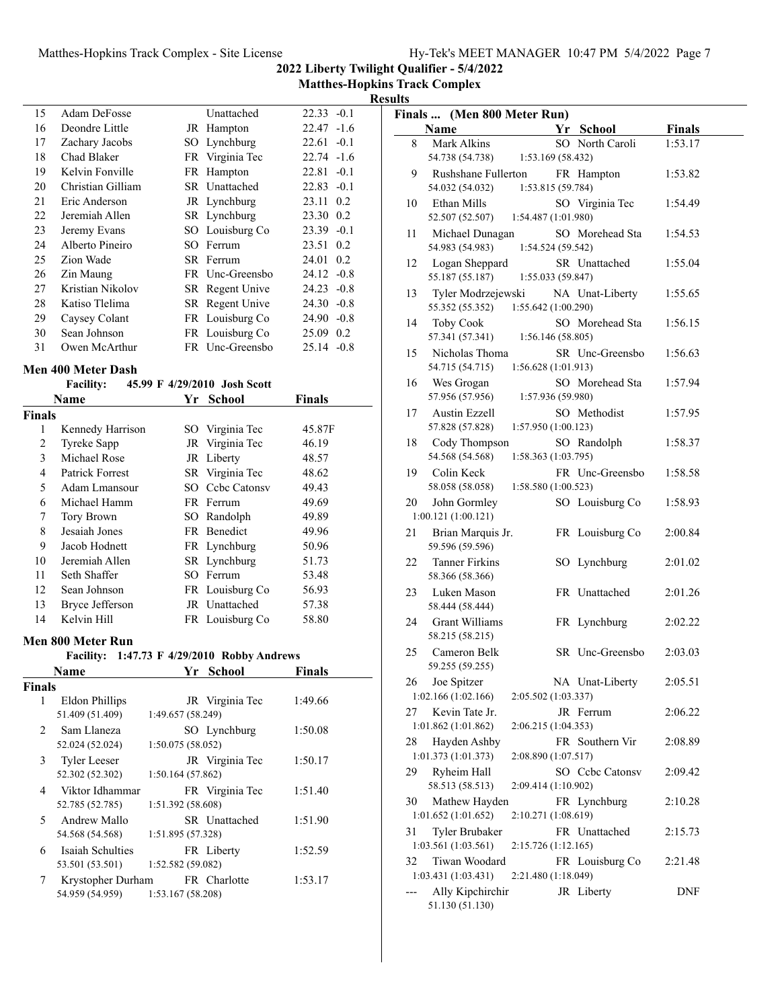**2022 Liberty Twilight Qualifier - 5/4/2022**

**Matthes-Hopkins Track Complex Results**

| 15 | Adam DeFosse       | Unattached      | $22.33 - 0.1$ |        |
|----|--------------------|-----------------|---------------|--------|
| 16 | Deondre Little     | JR Hampton      | $22.47 -1.6$  |        |
| 17 | Zachary Jacobs     | SO Lynchburg    | $22.61 - 0.1$ |        |
| 18 | Chad Blaker        | FR Virginia Tec | $22.74 - 1.6$ |        |
| 19 | Kelvin Fonville    | FR Hampton      | 22.81         | $-0.1$ |
| 20 | Christian Gilliam  | SR Unattached   | 22.83         | $-0.1$ |
| 21 | Eric Anderson      | JR Lynchburg    | 23.11 0.2     |        |
| 22 | Jeremiah Allen     | SR Lynchburg    | 23.30 0.2     |        |
| 23 | Jeremy Evans       | SO Louisburg Co | $23.39 -0.1$  |        |
| 24 | Alberto Pineiro    | SO Ferrum       | 23.51 0.2     |        |
| 25 | Zion Wade          | SR Ferrum       | 24.01 0.2     |        |
| 26 | Zin Maung          | FR Unc-Greensbo | $24.12 -0.8$  |        |
| 27 | Kristian Nikolov   | SR Regent Unive | $24.23 - 0.8$ |        |
| 28 | Katiso Tlelima     | SR Regent Unive | $24.30 -0.8$  |        |
| 29 | Caysey Colant      | FR Louisburg Co | $24.90 -0.8$  |        |
| 30 | Sean Johnson       | FR Louisburg Co | 25.09 0.2     |        |
| 31 | Owen McArthur      | FR Unc-Greensbo | $25.14 -0.8$  |        |
|    | Ien 400 Meter Dash |                 |               |        |

#### **Men 400 Meter Dash**

|        | <b>Facility:</b> |     | 45.99 F 4/29/2010 Josh Scott |               |
|--------|------------------|-----|------------------------------|---------------|
|        | Name             | Yr  | School                       | <b>Finals</b> |
| Finals |                  |     |                              |               |
| 1      | Kennedy Harrison |     | SO Virginia Tec              | 45.87F        |
| 2      | Tyreke Sapp      |     | JR Virginia Tec              | 46.19         |
| 3      | Michael Rose     |     | JR Liberty                   | 48.57         |
| 4      | Patrick Forrest  |     | SR Virginia Tec              | 48.62         |
| 5      | Adam Lmansour    | SO. | Cebe Catonsy                 | 49.43         |
| 6      | Michael Hamm     |     | FR Ferrum                    | 49.69         |
| 7      | Tory Brown       |     | SO Randolph                  | 49.89         |
| 8      | Jesaiah Jones    |     | FR Benedict                  | 49.96         |
| 9      | Jacob Hodnett    |     | FR Lynchburg                 | 50.96         |
| 10     | Jeremiah Allen   |     | SR Lynchburg                 | 51.73         |
| 11     | Seth Shaffer     |     | SO Ferrum                    | 53.48         |
| 12     | Sean Johnson     |     | FR Louisburg Co              | 56.93         |
| 13     | Bryce Jefferson  |     | JR Unattached                | 57.38         |
| 14     | Kelvin Hill      |     | FR Louisburg Co              | 58.80         |

#### **Men 800 Meter Run**

# **Facility:** 1:47.73 F 4/29/2010 Robby Andrews

|               | Name                | Yr -              | <b>School</b>   | <b>Finals</b> |
|---------------|---------------------|-------------------|-----------------|---------------|
| <b>Finals</b> |                     |                   |                 |               |
| 1             | Eldon Phillips      |                   | JR Virginia Tec | 1:49.66       |
|               | 51.409 (51.409)     | 1:49.657 (58.249) |                 |               |
| $2^{\circ}$   | Sam Llaneza         |                   | SO Lynchburg    | 1:50.08       |
|               | 52.024 (52.024)     | 1:50.075(58.052)  |                 |               |
| 3             | <b>Tyler Leeser</b> |                   | JR Virginia Tec | 1:50.17       |
|               | 52.302 (52.302)     | 1:50.164(57.862)  |                 |               |
| 4             | Viktor Idhammar     |                   | FR Virginia Tec | 1:51.40       |
|               | 52.785 (52.785)     | 1:51.392 (58.608) |                 |               |
| 5             | Andrew Mallo        |                   | SR Unattached   | 1:51.90       |
|               | 54.568 (54.568)     | 1:51.895 (57.328) |                 |               |
| 6             | Isaiah Schulties    |                   | FR Liberty      | 1:52.59       |
|               | 53.501 (53.501)     | 1:52.582 (59.082) |                 |               |
| 7             | Krystopher Durham   |                   | FR Charlotte    | 1:53.17       |
|               | 54.959 (54.959)     | 1:53.167(58.208)  |                 |               |

|    | Finals  (Men 800 Meter Run)              |                     |                 |               |  |
|----|------------------------------------------|---------------------|-----------------|---------------|--|
|    | Name                                     | Yr                  | <b>School</b>   | <b>Finals</b> |  |
| 8  | Mark Alkins                              |                     | SO North Caroli | 1:53.17       |  |
|    | 54.738 (54.738)                          | 1:53.169 (58.432)   |                 |               |  |
| 9  | Rushshane Fullerton<br>54.032 (54.032)   | 1:53.815 (59.784)   | FR Hampton      | 1:53.82       |  |
| 10 | Ethan Mills                              |                     | SO Virginia Tec | 1:54.49       |  |
|    | 52.507 (52.507)                          | 1:54.487 (1:01.980) |                 |               |  |
| 11 | Michael Dunagan                          |                     | SO Morehead Sta | 1:54.53       |  |
|    | 54.983 (54.983)                          | 1:54.524 (59.542)   |                 |               |  |
| 12 | Logan Sheppard<br>55.187 (55.187)        | 1:55.033 (59.847)   | SR Unattached   | 1:55.04       |  |
| 13 | Tyler Modrzejewski                       |                     | NA Unat-Liberty | 1:55.65       |  |
|    | 55.352 (55.352)                          | 1:55.642 (1:00.290) |                 |               |  |
| 14 | Toby Cook                                |                     | SO Morehead Sta | 1:56.15       |  |
|    | 57.341 (57.341)                          | 1:56.146 (58.805)   |                 |               |  |
| 15 | Nicholas Thoma<br>54.715 (54.715)        | 1:56.628 (1:01.913) | SR Unc-Greensbo | 1:56.63       |  |
| 16 | Wes Grogan                               |                     | SO Morehead Sta | 1:57.94       |  |
|    | 57.956 (57.956)                          | 1:57.936 (59.980)   |                 |               |  |
| 17 | <b>Austin Ezzell</b>                     |                     | SO Methodist    | 1:57.95       |  |
|    | 57.828 (57.828)                          | 1:57.950 (1:00.123) |                 |               |  |
| 18 | Cody Thompson                            |                     | SO Randolph     | 1:58.37       |  |
|    | 54.568 (54.568)                          | 1:58.363 (1:03.795) |                 |               |  |
| 19 | Colin Keck                               |                     | FR Unc-Greensbo | 1:58.58       |  |
|    | 58.058 (58.058)                          | 1:58.580 (1:00.523) |                 |               |  |
| 20 | John Gormley<br>1:00.121(1:00.121)       |                     | SO Louisburg Co | 1:58.93       |  |
| 21 | Brian Marquis Jr.                        |                     | FR Louisburg Co | 2:00.84       |  |
|    | 59.596 (59.596)                          |                     |                 |               |  |
| 22 | <b>Tanner Firkins</b><br>58.366 (58.366) |                     | SO Lynchburg    | 2:01.02       |  |
| 23 | Luken Mason                              |                     | FR Unattached   | 2:01.26       |  |
|    | 58.444 (58.444)                          |                     |                 |               |  |
| 24 | Grant Williams                           |                     | FR Lynchburg    | 2:02.22       |  |
|    | 58.215 (58.215)                          |                     |                 |               |  |
| 25 | Cameron Belk<br>59.255 (59.255)          |                     | SR Unc-Greensbo | 2:03.03       |  |
| 26 | Joe Spitzer                              |                     | NA Unat-Liberty | 2:05.51       |  |
|    | 1:02.166 (1:02.166)                      | 2:05.502 (1:03.337) |                 |               |  |
| 27 | Kevin Tate Jr.                           |                     | JR Ferrum       | 2:06.22       |  |
|    | 1:01.862 (1:01.862)                      | 2:06.215 (1:04.353) |                 |               |  |
| 28 | Hayden Ashby                             |                     | FR Southern Vir | 2:08.89       |  |
|    | 1:01.373 (1:01.373)                      | 2:08.890 (1:07.517) |                 |               |  |
| 29 | Ryheim Hall<br>58.513 (58.513)           | 2:09.414 (1:10.902) | SO Cebe Catonsy | 2:09.42       |  |
| 30 | Mathew Hayden                            |                     | FR Lynchburg    | 2:10.28       |  |
|    | 1:01.652(1:01.652)                       | 2:10.271 (1:08.619) |                 |               |  |
| 31 | Tyler Brubaker                           |                     | FR Unattached   | 2:15.73       |  |
|    | 1:03.561 (1:03.561)                      | 2:15.726 (1:12.165) |                 |               |  |
| 32 | Tiwan Woodard                            |                     | FR Louisburg Co | 2:21.48       |  |
|    | 1:03.431 (1:03.431)                      | 2:21.480 (1:18.049) |                 |               |  |
|    | Ally Kipchirchir<br>51.130 (51.130)      |                     | JR Liberty      | DNF           |  |
|    |                                          |                     |                 |               |  |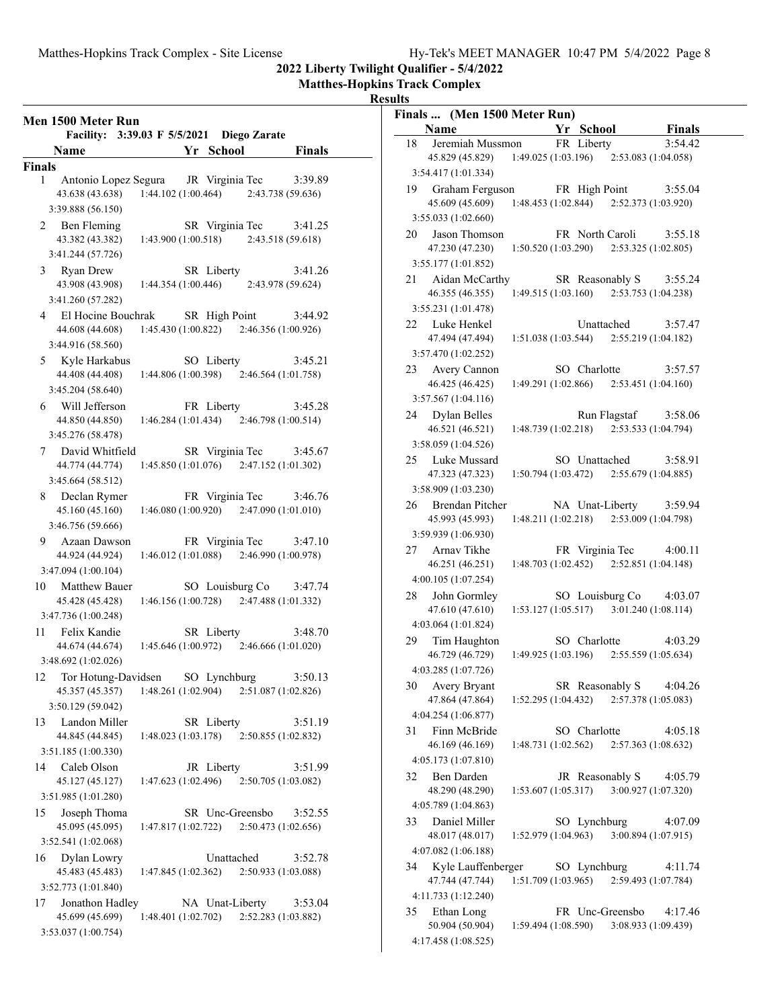#### **Matthes-Hopkins Track Complex**

#### **Results**

| Facility: 3:39.03 F 5/5/2021 Diego Zarate                               |                                           |                              |
|-------------------------------------------------------------------------|-------------------------------------------|------------------------------|
| <b>Name</b>                                                             | Yr School                                 | <b>Finals</b>                |
| <b>Finals</b>                                                           |                                           |                              |
| Antonio Lopez Segura JR Virginia Tec<br>1<br>43.638 (43.638)            | $1:44.102(1:00.464)$ $2:43.738(59.636)$   | 3:39.89                      |
| 3:39.888 (56.150)                                                       |                                           |                              |
| 2 Ben Fleming<br>43.382 (43.382)<br>1:43.900(1:00.518)                  | SR Virginia Tec                           | 3:41.25<br>2:43.518 (59.618) |
| 3:41.244 (57.726)                                                       |                                           |                              |
| 3 Ryan Drew<br>43.908 (43.908) 1:44.354 (1:00.446)<br>3:41.260 (57.282) | SR Liberty                                | 3:41.26<br>2:43.978 (59.624) |
| 4 El Hocine Bouchrak SR High Point                                      |                                           | 3:44.92                      |
| 44.608 (44.608)<br>3:44.916 (58.560)                                    | $1:45.430(1:00.822)$ $2:46.356(1:00.926)$ |                              |
| 5 Kyle Harkabus                                                         | SO Liberty                                | 3:45.21                      |
| 44.408 (44.408)<br>3:45.204 (58.640)                                    | $1:44.806(1:00.398)$ $2:46.564(1:01.758)$ |                              |
| 6 Will Jefferson                                                        | FR Liberty                                | 3:45.28                      |
| 1:46.284 (1:01.434)<br>44.850 (44.850)<br>3:45.276 (58.478)             | 2:46.798 (1:00.514)                       |                              |
| 7 David Whitfield                                                       | SR Virginia Tec                           | 3:45.67                      |
| 44.774 (44.774)<br>3:45.664 (58.512)                                    | $1:45.850(1:01.076)$ $2:47.152(1:01.302)$ |                              |
| 8 Declan Rymer                                                          | FR Virginia Tec                           | 3:46.76                      |
| 45.160 (45.160)<br>3:46.756 (59.666)                                    | $1:46.080(1:00.920)$ $2:47.090(1:01.010)$ |                              |
| 9 Azaan Dawson                                                          | FR Virginia Tec                           | 3:47.10                      |
| 44.924 (44.924)<br>3:47.094 (1:00.104)                                  | $1:46.012(1:01.088)$ $2:46.990(1:00.978)$ |                              |
| <b>Matthew Bauer</b><br>10                                              | SO Louisburg Co                           | 3:47.74                      |
| 45.428 (45.428)                                                         | $1:46.156(1:00.728)$ $2:47.488(1:01.332)$ |                              |
| 3:47.736 (1:00.248)                                                     |                                           |                              |
| 11 Felix Kandie                                                         | SR Liberty                                | 3:48.70                      |
| 44.674 (44.674)<br>3:48.692 (1:02.026)                                  | $1:45.646(1:00.972)$ $2:46.666(1:01.020)$ |                              |
| 12 Tor Hotung-Davidsen SO Lynchburg                                     |                                           | 3:50.13                      |
| 1:48.261(1:02.904)<br>45.357 (45.357)<br>3:50.129 (59.042)              | 2:51.087 (1:02.826)                       |                              |
| Landon Miller<br>13                                                     | SR Liberty                                | 3:51.19                      |
| 44.845 (44.845)<br>1:48.023 (1:03.178)                                  | 2:50.855 (1:02.832)                       |                              |
| 3:51.185 (1:00.330)                                                     |                                           |                              |
| Caleb Olson<br>14<br>45.127 (45.127)<br>1:47.623 (1:02.496)             | JR Liberty<br>2:50.705 (1:03.082)         | 3:51.99                      |
| 3:51.985 (1:01.280)                                                     |                                           |                              |
| Joseph Thoma<br>15<br>45.095 (45.095)<br>1:47.817(1:02.722)             | SR Unc-Greensbo<br>2:50.473 (1:02.656)    | 3:52.55                      |
| 3:52.541 (1:02.068)                                                     |                                           |                              |
| Dylan Lowry<br>16<br>45.483 (45.483)<br>1:47.845 (1:02.362)             | Unattached<br>2:50.933 (1:03.088)         | 3:52.78                      |
| 3:52.773 (1:01.840)                                                     |                                           |                              |
| Jonathon Hadley<br>17<br>45.699 (45.699)<br>1:48.401(1:02.702)          | NA Unat-Liberty<br>2:52.283 (1:03.882)    | 3:53.04                      |

| Finals  (Men 1500 Meter Run)                |                     |                                           |                                |
|---------------------------------------------|---------------------|-------------------------------------------|--------------------------------|
| Name                                        |                     | Yr School                                 | <b>Finals</b>                  |
| Jeremiah Mussmon<br>18                      |                     | FR Liberty                                | 3:54.42                        |
| 45.829 (45.829)                             | 1:49.025 (1:03.196) |                                           | 2:53.083 (1:04.058)            |
| 3:54.417 (1:01.334)                         |                     |                                           |                                |
| Graham Ferguson<br>19                       |                     | FR High Point                             | 3:55.04                        |
| 45.609 (45.609)                             | 1:48.453 (1:02.844) |                                           | 2:52.373 (1:03.920)            |
| 3:55.033 (1:02.660)                         |                     |                                           |                                |
| Jason Thomson<br>20                         |                     | FR North Caroli                           | 3:55.18                        |
| 47.230 (47.230)                             |                     | $1:50.520(1:03.290)$ $2:53.325(1:02.805)$ |                                |
| 3:55.177 (1:01.852)                         |                     |                                           |                                |
| Aidan McCarthy<br>21                        |                     | SR Reasonably S                           | 3:55.24                        |
| 46.355 (46.355)                             |                     | 1:49.515 (1:03.160) 2:53.753 (1:04.238)   |                                |
| 3:55.231 (1:01.478)                         |                     |                                           |                                |
| Luke Henkel<br>22                           |                     | Unattached                                | 3:57.47                        |
| 47.494 (47.494)                             | 1:51.038(1:03.544)  |                                           | 2:55.219 (1:04.182)            |
| 3:57.470 (1:02.252)                         |                     |                                           |                                |
|                                             |                     |                                           |                                |
| Avery Cannon<br>23                          |                     | SO Charlotte                              | 3:57.57                        |
| 46.425 (46.425)                             | 1:49.291 (1:02.866) |                                           | 2:53.451(1:04.160)             |
| 3:57.567 (1:04.116)                         |                     |                                           |                                |
| Dylan Belles<br>24                          |                     | Run Flagstaf                              | 3:58.06                        |
| 46.521 (46.521)                             | 1:48.739 (1:02.218) |                                           | 2:53.533 (1:04.794)            |
| 3:58.059 (1:04.526)                         |                     |                                           |                                |
| Luke Mussard<br>25                          |                     | SO Unattached                             | 3:58.91                        |
| 47.323 (47.323)                             | 1:50.794 (1:03.472) |                                           | 2:55.679 (1:04.885)            |
| 3:58.909 (1:03.230)                         |                     |                                           |                                |
| 26<br><b>Brendan Pitcher</b>                |                     | NA Unat-Liberty                           | 3:59.94                        |
| 45.993 (45.993)                             | 1:48.211 (1:02.218) |                                           | 2:53.009 (1:04.798)            |
| 3:59.939 (1:06.930)                         |                     |                                           |                                |
| Arnav Tikhe<br>27                           |                     | FR Virginia Tec                           | 4:00.11                        |
| 46.251 (46.251)                             | 1:48.703 (1:02.452) |                                           | 2:52.851 (1:04.148)            |
| 4:00.105 (1:07.254)                         |                     |                                           |                                |
| John Gormley<br>28                          |                     | SO Louisburg Co                           | 4:03.07                        |
| 47.610 (47.610)                             | 1:53.127(1:05.517)  |                                           | 3:01.240 (1:08.114)            |
| 4:03.064 (1:01.824)                         |                     |                                           |                                |
| 29<br>Tim Haughton                          |                     | SO Charlotte                              | 4:03.29                        |
| 46.729 (46.729)                             | 1:49.925 (1:03.196) |                                           | 2:55.559 (1:05.634)            |
| 4:03.285 (1:07.726)                         |                     |                                           |                                |
| Avery Bryant<br>30                          |                     | SR Reasonably S                           | 4:04.26                        |
| 47.864 (47.864)                             | 1:52.295(1:04.432)  |                                           | 2:57.378 (1:05.083)            |
| 4:04.254 (1:06.877)                         |                     |                                           |                                |
| 31<br>Finn McBride                          |                     | SO Charlotte                              | 4:05.18                        |
| 46.169 (46.169)                             | 1:48.731(1:02.562)  |                                           | 2:57.363 (1:08.632)            |
| 4:05.173 (1:07.810)                         |                     |                                           |                                |
| 32<br>Ben Darden                            |                     | JR Reasonably S                           | 4:05.79                        |
| 48.290 (48.290)                             | 1:53.607(1:05.317)  |                                           | 3:00.927 (1:07.320)            |
| 4:05.789 (1:04.863)                         |                     |                                           |                                |
| Daniel Miller<br>33                         |                     | SO Lynchburg                              | 4:07.09                        |
| 48.017 (48.017)                             | 1:52.979 (1:04.963) |                                           | 3:00.894 (1:07.915)            |
| 4:07.082 (1:06.188)                         |                     |                                           |                                |
|                                             |                     |                                           |                                |
| Kyle Lauffenberger<br>34<br>47.744 (47.744) | 1:51.709(1:03.965)  | SO Lynchburg                              | 4:11.74<br>2:59.493 (1:07.784) |
|                                             |                     |                                           |                                |
| 4:11.733 (1:12.240)                         |                     |                                           |                                |
| 35<br>Ethan Long                            |                     | FR Unc-Greensbo                           | 4:17.46                        |
| 50.904 (50.904)                             | 1:59.494(1:08.590)  |                                           | 3:08.933 (1:09.439)            |
| 4:17.458 (1:08.525)                         |                     |                                           |                                |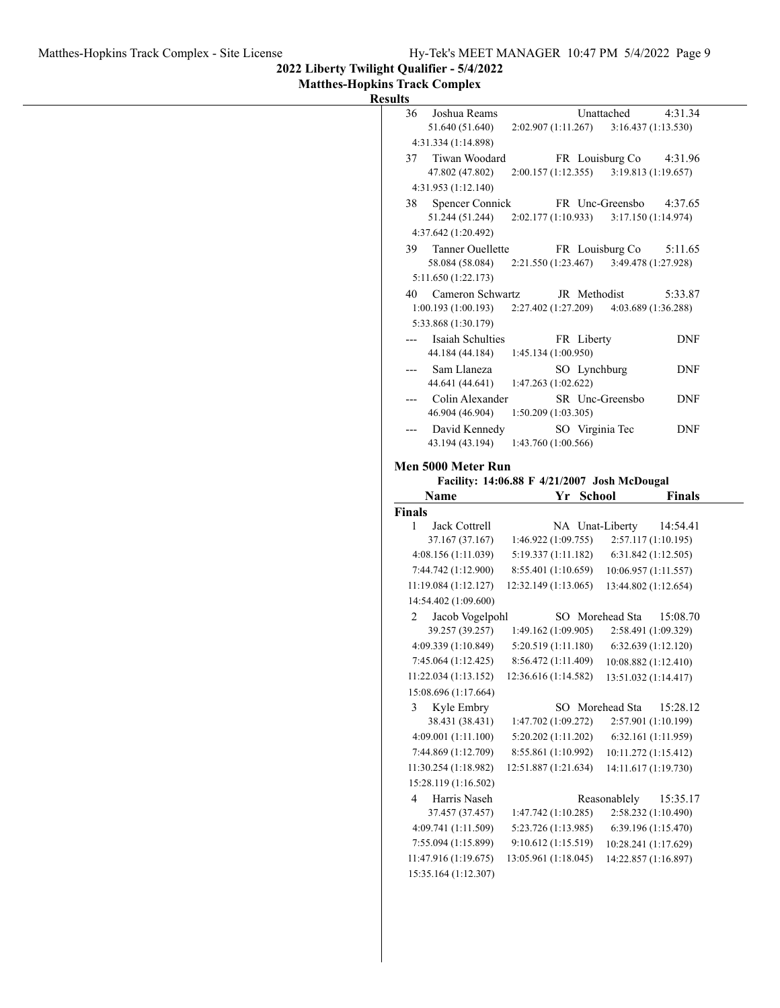**2022 Liberty Twilight Qualifier - 5/4/2022**

**Matthes-Hopkins Track Complex**

| Results |  |
|---------|--|
|         |  |

|                                                   | Unattached                                   | Joshua Reams                                 |
|---------------------------------------------------|----------------------------------------------|----------------------------------------------|
| 3:16.437(1:13.530)                                | 2:02.907(1:11.267)                           | 51.640 (51.640)                              |
|                                                   |                                              | 4:31.334 (1:14.898)                          |
| FR Louisburg Co<br>4:31.96<br>3:19.813 (1:19.657) |                                              | Tiwan Woodard                                |
|                                                   | 2:00.157(1:12.355)                           | 47.802 (47.802)<br>4:31.953 (1:12.140)       |
| FR Unc-Greensbo<br>4:37.65                        |                                              | Spencer Connick                              |
| 3:17.150 (1:14.974)                               | 2:02.177 (1:10.933)                          | 51.244 (51.244)                              |
|                                                   |                                              | 4:37.642 (1:20.492)                          |
| FR Louisburg Co<br>5:11.65                        |                                              | <b>Tanner Ouellette</b>                      |
| 3:49.478 (1:27.928)                               | 2:21.550(1:23.467)                           | 58.084 (58.084)                              |
|                                                   |                                              | 5:11.650 (1:22.173)                          |
| 5:33.87<br>4:03.689 (1:36.288)                    | JR Methodist<br>2:27.402(1:27.209)           | Cameron Schwartz<br>1:00.193(1:00.193)       |
|                                                   |                                              | 5:33.868 (1:30.179)                          |
| <b>DNF</b>                                        | FR Liberty                                   | Isaiah Schulties                             |
|                                                   | 1:45.134 (1:00.950)                          | 44.184 (44.184)                              |
| <b>DNF</b>                                        | SO Lynchburg                                 | Sam Llaneza                                  |
|                                                   | 1:47.263 (1:02.622)                          | 44.641 (44.641)                              |
| SR Unc-Greensbo<br><b>DNF</b>                     | 1:50.209(1:03.305)                           | Colin Alexander<br>46.904 (46.904)           |
| <b>DNF</b><br>SO Virginia Tec                     |                                              | David Kennedy                                |
|                                                   | 1:43.760 (1:00.566)                          | 43.194 (43.194)                              |
|                                                   |                                              | Men 5000 Meter Run                           |
|                                                   |                                              |                                              |
|                                                   | Facility: 14:06.88 F 4/21/2007 Josh McDougal |                                              |
|                                                   | Yr School                                    | Name                                         |
| <b>Finals</b>                                     |                                              | <b>Finals</b>                                |
| NA Unat-Liberty<br>14:54.41                       |                                              | Jack Cottrell                                |
| 2:57.117(1:10.195)                                | 1:46.922(1:09.755)                           | 37.167 (37.167)                              |
| 6:31.842(1:12.505)                                | 5:19.337 (1:11.182)                          | 4:08.156(1:11.039)                           |
| 10:06.957 (1:11.557)                              | 8:55.401 (1:10.659)                          | 7:44.742 (1:12.900)                          |
| 13:44.802 (1:12.654)                              | 12:32.149 (1:13.065)                         | 11:19.084(1:12.127)<br>14:54.402 (1:09.600)  |
| SO Morehead Sta<br>15:08.70                       |                                              | Jacob Vogelpohl                              |
| 2:58.491 (1:09.329)                               | 1:49.162(1:09.905)                           | 39.257 (39.257)                              |
| 6:32.639(1:12.120)                                | 5:20.519 (1:11.180)                          | 4:09.339 (1:10.849)                          |
| 10:08.882 (1:12.410)                              | 8:56.472 (1:11.409)                          | 7:45.064(1:12.425)<br>11:22.034(1:13.152)    |
| 13:51.032 (1:14.417)                              | 12:36.616 (1:14.582)                         | 15:08.696 (1:17.664)                         |
| SO Morehead Sta<br>15:28.12                       |                                              | Kyle Embry                                   |
| 2:57.901 (1:10.199)                               | 1:47.702 (1:09.272)                          | 38.431 (38.431)                              |
| 6:32.161 (1:11.959)                               | 5:20.202 (1:11.202)                          | 4:09.001(1:11.100)                           |
| 10:11.272 (1:15.412)                              | 8:55.861 (1:10.992)                          | 7:44.869 (1:12.709)                          |
| 14:11.617 (1:19.730)                              | 12:51.887 (1:21.634)                         | 11:30.254 (1:18.982)                         |
|                                                   |                                              | 15:28.119 (1:16.502)                         |
| Reasonablely<br>15:35.17                          |                                              | Harris Naseh                                 |
| 2:58.232 (1:10.490)                               | 1:47.742 (1:10.285)                          | 37.457 (37.457)                              |
| 6:39.196 (1:15.470)                               | 5:23.726 (1:13.985)                          | 4:09.741 (1:11.509)                          |
| 10:28.241 (1:17.629)                              | 9:10.612 (1:15.519)                          | 7:55.094 (1:15.899)                          |
| 14:22.857 (1:16.897)                              | 13:05.961 (1:18.045)                         | 11:47.916 (1:19.675)<br>15:35.164 (1:12.307) |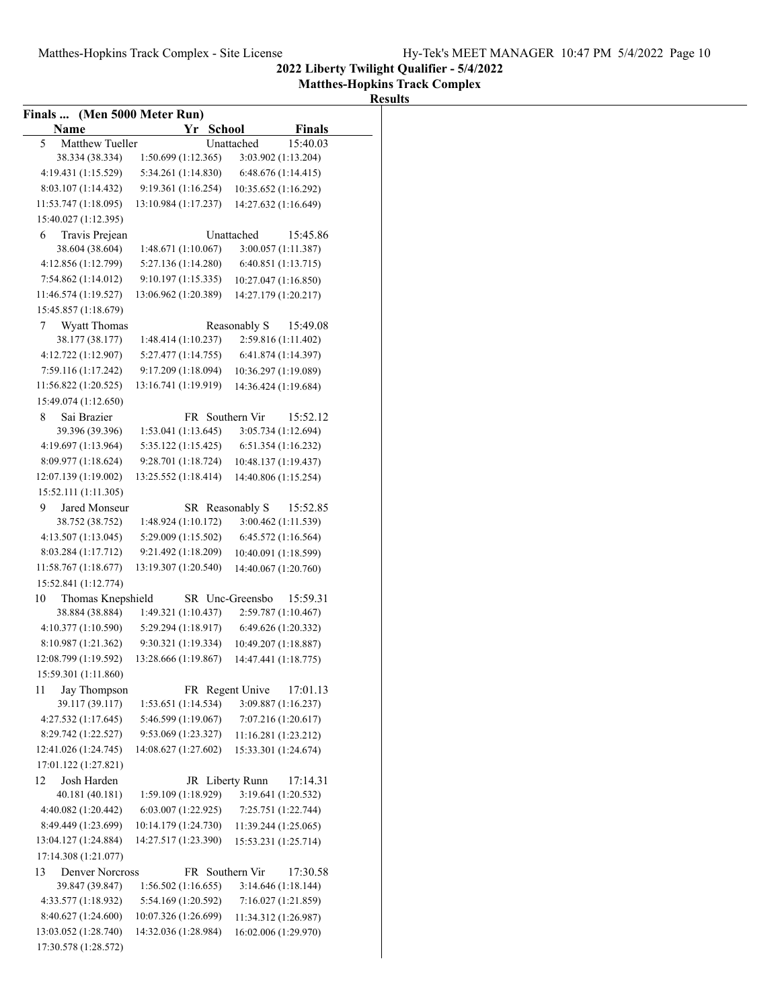**Matthes-Hopkins Track Complex**

#### **Results**

| Finals  (Men 5000 Meter Run)                |                                           |                                 |  |
|---------------------------------------------|-------------------------------------------|---------------------------------|--|
| Name                                        | Yr School                                 | <b>Finals</b>                   |  |
| Matthew Tueller<br>5                        |                                           | 15:40.03<br>Unattached          |  |
| 38.334 (38.334)                             | 1:50.699 (1:12.365)                       | 3:03.902 (1:13.204)             |  |
| 4:19.431 (1:15.529)                         | 5:34.261 (1:14.830)                       | 6:48.676 (1:14.415)             |  |
| 8:03.107 (1:14.432)                         | 9:19.361 (1:16.254)                       | 10:35.652 (1:16.292)            |  |
| 11:53.747 (1:18.095)                        | 13:10.984 (1:17.237)                      | 14:27.632 (1:16.649)            |  |
| 15:40.027 (1:12.395)                        |                                           |                                 |  |
| Travis Prejean<br>6                         |                                           | Unattached<br>15:45.86          |  |
| 38.604 (38.604)<br>4:12.856 (1:12.799)      | 1:48.671(1:10.067)<br>5:27.136 (1:14.280) | 3:00.057 (1:11.387)             |  |
| 7:54.862 (1:14.012)                         | 9:10.197 (1:15.335)                       | 6:40.851(1:13.715)              |  |
| 11:46.574 (1:19.527)                        | 13:06.962 (1:20.389)                      | 10:27.047 (1:16.850)            |  |
| 15:45.857 (1:18.679)                        |                                           | 14:27.179 (1:20.217)            |  |
|                                             |                                           | Reasonably S                    |  |
| <b>Wyatt Thomas</b><br>7<br>38.177 (38.177) | 1:48.414(1:10.237)                        | 15:49.08<br>2:59.816 (1:11.402) |  |
| 4:12.722 (1:12.907)                         | 5:27.477 (1:14.755)                       | 6:41.874 (1:14.397)             |  |
| 7:59.116 (1:17.242)                         | 9:17.209 (1:18.094)                       | 10:36.297 (1:19.089)            |  |
| 11:56.822(1:20.525)                         | 13:16.741 (1:19.919)                      | 14:36.424 (1:19.684)            |  |
| 15:49.074 (1:12.650)                        |                                           |                                 |  |
| Sai Brazier<br>8                            | FR Southern Vir                           | 15:52.12                        |  |
| 39.396 (39.396)                             | 1:53.041(1:13.645)                        | 3:05.734 (1:12.694)             |  |
| 4:19.697 (1:13.964)                         | 5:35.122 (1:15.425)                       | 6:51.354 (1:16.232)             |  |
| 8:09.977 (1:18.624)                         | 9:28.701 (1:18.724)                       | 10:48.137 (1:19.437)            |  |
| 12:07.139 (1:19.002)                        | 13:25.552 (1:18.414)                      | 14:40.806 (1:15.254)            |  |
| 15:52.111 (1:11.305)                        |                                           |                                 |  |
| Jared Monseur<br>9                          | SR Reasonably S                           | 15:52.85                        |  |
| 38.752 (38.752)                             | 1:48.924(1:10.172)                        | 3:00.462 (1:11.539)             |  |
| 4:13.507 (1:13.045)                         | 5:29.009 (1:15.502)                       | 6:45.572 (1:16.564)             |  |
| 8:03.284 (1:17.712)                         | 9:21.492 (1:18.209)                       | 10:40.091 (1:18.599)            |  |
| 11:58.767(1:18.677)                         | 13:19.307 (1:20.540)                      | 14:40.067 (1:20.760)            |  |
| 15:52.841 (1:12.774)                        |                                           |                                 |  |
| Thomas Knepshield<br>10                     |                                           | SR Unc-Greensbo<br>15:59.31     |  |
| 38.884 (38.884)                             | 1:49.321 (1:10.437)                       | 2:59.787 (1:10.467)             |  |
| 4:10.377 (1:10.590)                         | 5:29.294 (1:18.917)                       | 6:49.626 (1:20.332)             |  |
| 8:10.987 (1:21.362)                         | 9:30.321 (1:19.334)                       | 10:49.207 (1:18.887)            |  |
| 12:08.799 (1:19.592)                        | 13:28.666 (1:19.867)                      | 14:47.441 (1:18.775)            |  |
| 15:59.301 (1:11.860)                        |                                           |                                 |  |
| Jay Thompson<br>11                          | FR Regent Unive                           | 17:01.13                        |  |
| 39.117 (39.117)                             | 1:53.651 (1:14.534)                       | 3:09.887 (1:16.237)             |  |
| 4:27.532 (1:17.645)                         | 5:46.599 (1:19.067)                       | 7:07.216 (1:20.617)             |  |
| 8:29.742 (1:22.527)                         | 9:53.069 (1:23.327)                       | 11:16.281 (1:23.212)            |  |
| 12:41.026 (1:24.745)                        | 14:08.627 (1:27.602)                      | 15:33.301 (1:24.674)            |  |
| 17:01.122 (1:27.821)                        |                                           |                                 |  |
| Josh Harden<br>12                           | JR Liberty Runn                           | 17:14.31                        |  |
| 40.181 (40.181)                             | 1:59.109 (1:18.929)                       | 3:19.641 (1:20.532)             |  |
| 4:40.082 (1:20.442)                         | 6:03.007(1:22.925)                        | 7:25.751 (1:22.744)             |  |
| 8:49.449 (1:23.699)                         | 10:14.179 (1:24.730)                      | 11:39.244 (1:25.065)            |  |
| 13:04.127 (1:24.884)                        | 14:27.517 (1:23.390)                      | 15:53.231 (1:25.714)            |  |
| 17:14.308 (1:21.077)                        |                                           |                                 |  |
| Denver Norcross<br>13                       | FR Southern Vir                           | 17:30.58                        |  |
| 39.847 (39.847)                             | 1:56.502(1:16.655)                        | 3:14.646 (1:18.144)             |  |
| 4:33.577 (1:18.932)                         | 5:54.169 (1:20.592)                       | 7:16.027 (1:21.859)             |  |
| 8:40.627 (1:24.600)                         | 10:07.326 (1:26.699)                      | 11:34.312 (1:26.987)            |  |
| 13:03.052 (1:28.740)                        | 14:32.036 (1:28.984)                      | 16:02.006 (1:29.970)            |  |
| 17:30.578 (1:28.572)                        |                                           |                                 |  |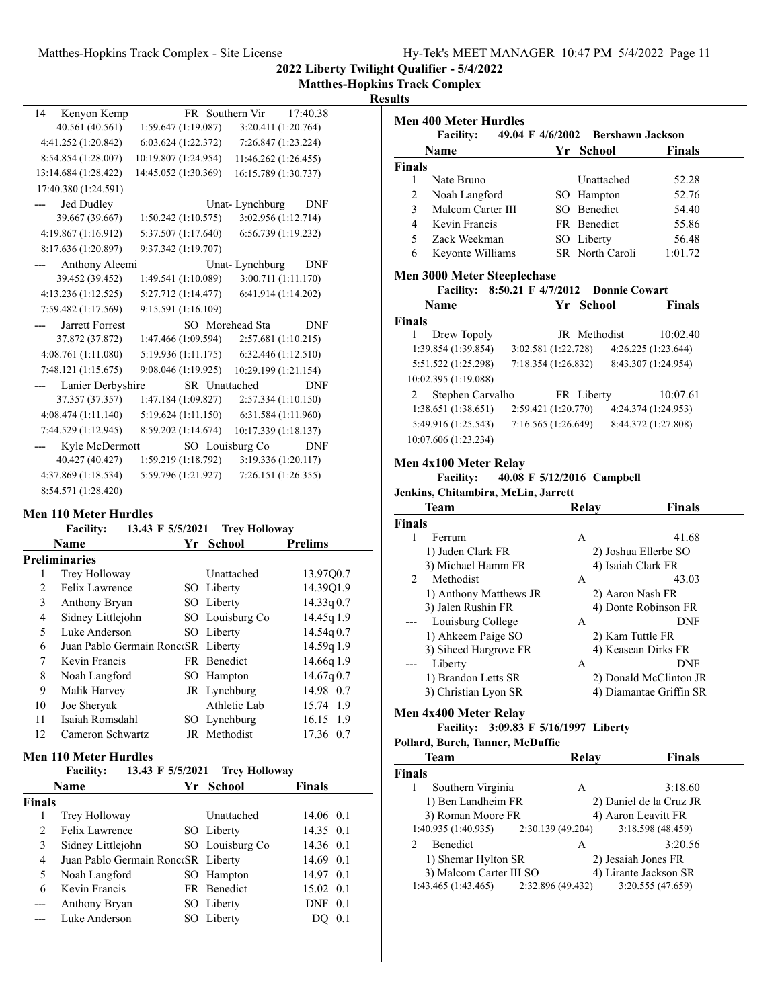**Matthes-Hopkins Track Complex**

## **Results**

| 14 | Kenyon Kemp          |                      | FR Southern Vir      | 17:40.38             |
|----|----------------------|----------------------|----------------------|----------------------|
|    | 40.561 (40.561)      | 1:59.647(1:19.087)   |                      | 3:20.411 (1:20.764)  |
|    | 4:41.252 (1:20.842)  | 6:03.624(1:22.372)   |                      | 7:26.847 (1:23.224)  |
|    | 8:54.854 (1:28.007)  | 10:19.807 (1:24.954) |                      | 11:46.262 (1:26.455) |
|    | 13:14.684 (1:28.422) | 14:45.052 (1:30.369) | 16:15.789 (1:30.737) |                      |
|    | 17:40.380 (1:24.591) |                      |                      |                      |
|    | Jed Dudley           |                      | Unat-Lynchburg       | DNF                  |
|    | 39.667 (39.667)      | 1:50.242(1:10.575)   |                      | 3:02.956 (1:12.714)  |
|    | 4:19.867(1:16.912)   | 5:37.507 (1:17.640)  |                      | 6:56.739 (1:19.232)  |
|    | 8:17.636 (1:20.897)  | 9:37.342 (1:19.707)  |                      |                      |
|    | Anthony Aleemi       |                      | Unat-Lynchburg       | DNF                  |
|    | 39.452 (39.452)      | 1:49.541 (1:10.089)  |                      | 3:00.711 (1:11.170)  |
|    | 4:13.236 (1:12.525)  | 5:27.712 (1:14.477)  |                      | 6:41.914 (1:14.202)  |
|    | 7:59.482 (1:17.569)  | 9:15.591 (1:16.109)  |                      |                      |
|    | Jarrett Forrest      |                      | SO Morehead Sta      | <b>DNF</b>           |
|    | 37.872 (37.872)      | 1:47.466 (1:09.594)  |                      | 2:57.681(1:10.215)   |
|    | 4:08.761 (1:11.080)  | 5:19.936 (1:11.175)  |                      | 6:32.446(1:12.510)   |
|    | 7:48.121 (1:15.675)  | 9:08.046 (1:19.925)  | 10:29.199 (1:21.154) |                      |
|    | Lanier Derbyshire    |                      | SR Unattached        | <b>DNF</b>           |
|    | 37.357 (37.357)      | 1:47.184 (1:09.827)  |                      | 2:57.334 (1:10.150)  |
|    | 4:08.474(1:11.140)   | 5:19.624(1:11.150)   |                      | 6:31.584 (1:11.960)  |
|    | 7:44.529 (1:12.945)  | 8:59.202 (1:14.674)  |                      | 10:17.339 (1:18.137) |
|    | Kyle McDermott       |                      | SO Louisburg Co      | DNF                  |
|    | 40.427 (40.427)      | 1:59.219(1:18.792)   |                      | 3:19.336 (1:20.117)  |
|    | 4:37.869 (1:18.534)  | 5:59.796 (1:21.927)  |                      | 7:26.151 (1:26.355)  |
|    | 8:54.571 (1:28.420)  |                      |                      |                      |

#### **Men 110 Meter Hurdles**

|               | 13.43 F 5/5/2021<br><b>Facility:</b> | <b>Trey Holloway</b> |                |
|---------------|--------------------------------------|----------------------|----------------|
|               | <b>Name</b>                          | Yr School            | <b>Prelims</b> |
|               | <b>Preliminaries</b>                 |                      |                |
| 1             | Trey Holloway                        | Unattached           | 13.97Q0.7      |
| $\mathcal{L}$ | Felix Lawrence                       | SO Liberty           | 14.39Q1.9      |
| 3             | Anthony Bryan                        | SO Liberty           | 14.33q0.7      |
| 4             | Sidney Littlejohn                    | SO Louisburg Co      | 14.45g 1.9     |
| 5             | Luke Anderson                        | SO Liberty           | 14.54q 0.7     |
| 6             | Juan Pablo Germain RoncoSR Liberty   |                      | 14.59q 1.9     |
| 7             | Kevin Francis                        | FR Renedict          | 14.66q 1.9     |
| 8             | Noah Langford                        | SO Hampton           | 14.67q0.7      |
| 9             | Malik Harvey                         | JR Lynchburg         | 14.98 0.7      |
| 10            | Joe Sheryak                          | Athletic Lab         | 15.74 1.9      |
| 11            | Isaiah Romsdahl                      | SO Lynchburg         | 16.15 1.9      |
| 12            | Cameron Schwartz                     | JR Methodist         | 17.36 0.7      |
|               |                                      |                      |                |

### **Men 110 Meter Hurdles**

|               | <b>Facility:</b>                   |  | 13.43 F 5/5/2021 Trey Holloway |               |     |
|---------------|------------------------------------|--|--------------------------------|---------------|-----|
|               | Name                               |  | Yr School                      | <b>Finals</b> |     |
| Finals        |                                    |  |                                |               |     |
|               | Trey Holloway                      |  | <b>Unattached</b>              | 14.06 0.1     |     |
| $\mathcal{L}$ | Felix Lawrence                     |  | SO Liberty                     | 14.35 0.1     |     |
| 3             | Sidney Littlejohn                  |  | SO Louisburg Co                | 14.36 0.1     |     |
| 4             | Juan Pablo Germain RoncoSR Liberty |  |                                | 14.69 0.1     |     |
| 5             | Noah Langford                      |  | SO Hampton                     | 14.97 0.1     |     |
| 6             | Kevin Francis                      |  | FR Benedict                    | 15.02 0.1     |     |
|               | Anthony Bryan                      |  | SO Liberty                     | $DNF$ 0.1     |     |
|               | Luke Anderson                      |  | SO Liberty                     |               | 0.1 |
|               |                                    |  |                                |               |     |

|                         | Name                                                   |                     |     | Yr School                        | <b>Finals</b>       |
|-------------------------|--------------------------------------------------------|---------------------|-----|----------------------------------|---------------------|
| <b>Finals</b>           |                                                        |                     |     |                                  |                     |
| 1                       | Nate Bruno                                             |                     |     | <b>Unattached</b>                | 52.28               |
| 2                       | Noah Langford                                          |                     | SO. | Hampton                          | 52.76               |
| 3                       | Malcom Carter III                                      |                     | SO. | <b>Benedict</b>                  | 54.40               |
| $\overline{\mathbf{4}}$ | Kevin Francis                                          |                     |     | FR Benedict                      | 55.86               |
| 5                       | Zack Weekman                                           |                     | SO. | Liberty                          | 56.48               |
| 6                       | Keyonte Williams                                       |                     |     | SR North Caroli                  | 1:01.72             |
|                         | <b>Men 3000 Meter Steeplechase</b><br><b>Facility:</b> |                     |     | 8:50.21 F 4/7/2012 Donnie Cowart |                     |
|                         | Name                                                   |                     |     | Yr School                        | <b>Finals</b>       |
| <b>Finals</b>           |                                                        |                     |     |                                  |                     |
| 1                       | Drew Topoly                                            |                     |     | <b>IR</b> Methodist              | 10:02.40            |
|                         | 1:39.854(1:39.854)                                     | 3:02.581(1:22.728)  |     |                                  | 4:26.225(1:23.644)  |
|                         | 5:51.522 (1:25.298)                                    | 7:18.354(1:26.832)  |     |                                  | 8:43.307 (1:24.954) |
|                         | 10:02.395 (1:19.088)                                   |                     |     |                                  |                     |
| $\mathfrak{D}$          | Stephen Carvalho                                       |                     |     | FR Liberty                       | 10:07.61            |
|                         | 1:38.651(1:38.651)                                     | 2:59.421 (1:20.770) |     |                                  | 4:24.374 (1:24.953) |

#### **Men 4x100 Meter Relay**

## **Facility:** 40.08 F 5/12/2016 Campbell

#### **Jenkins, Chitambira, McLin, Jarrett**

|               | <b>Team</b>            | Relav | <b>Finals</b>           |
|---------------|------------------------|-------|-------------------------|
| <b>Finals</b> |                        |       |                         |
|               | Ferrum                 | A     | 41.68                   |
|               | 1) Jaden Clark FR      |       | 2) Joshua Ellerbe SO    |
|               | 3) Michael Hamm FR     |       | 4) Isaiah Clark FR      |
| $2^{1}$       | Methodist              | A     | 43.03                   |
|               | 1) Anthony Matthews JR |       | 2) Aaron Nash FR        |
|               | 3) Jalen Rushin FR     |       | 4) Donte Robinson FR    |
| ---           | Louisburg College      | A     | DNF                     |
|               | 1) Ahkeem Paige SO     |       | 2) Kam Tuttle FR        |
|               | 3) Siheed Hargrove FR  |       | 4) Keasean Dirks FR     |
| $---$         | Liberty                | A     | DNF                     |
|               | 1) Brandon Letts SR    |       | 2) Donald McClinton JR  |
|               | 3) Christian Lyon SR   |       | 4) Diamantae Griffin SR |
|               |                        |       |                         |

## **Men 4x400 Meter Relay**

## Facility: 3:09.83 F 5/16/1997 Liberty

#### **Pollard, Burch, Tanner, McDuffie**

| Team                                    | Relay | <b>Finals</b>           |
|-----------------------------------------|-------|-------------------------|
| Finals                                  |       |                         |
| Southern Virginia                       | Α     | 3:18.60                 |
| 1) Ben Landheim FR                      |       | 2) Daniel de la Cruz JR |
| 3) Roman Moore FR                       |       | 4) Aaron Leavitt FR     |
| $1:40.935(1:40.935)$ $2:30.139(49.204)$ |       | 3:18.598 (48.459)       |
| Benedict                                | A     | 3:20.56                 |
| 1) Shemar Hylton SR                     |       | 2) Jesaiah Jones FR     |
| 3) Malcom Carter III SO                 |       | 4) Lirante Jackson SR   |
| $1:43.465(1:43.465)$ $2:32.896(49.432)$ |       | 3:20.555 (47.659)       |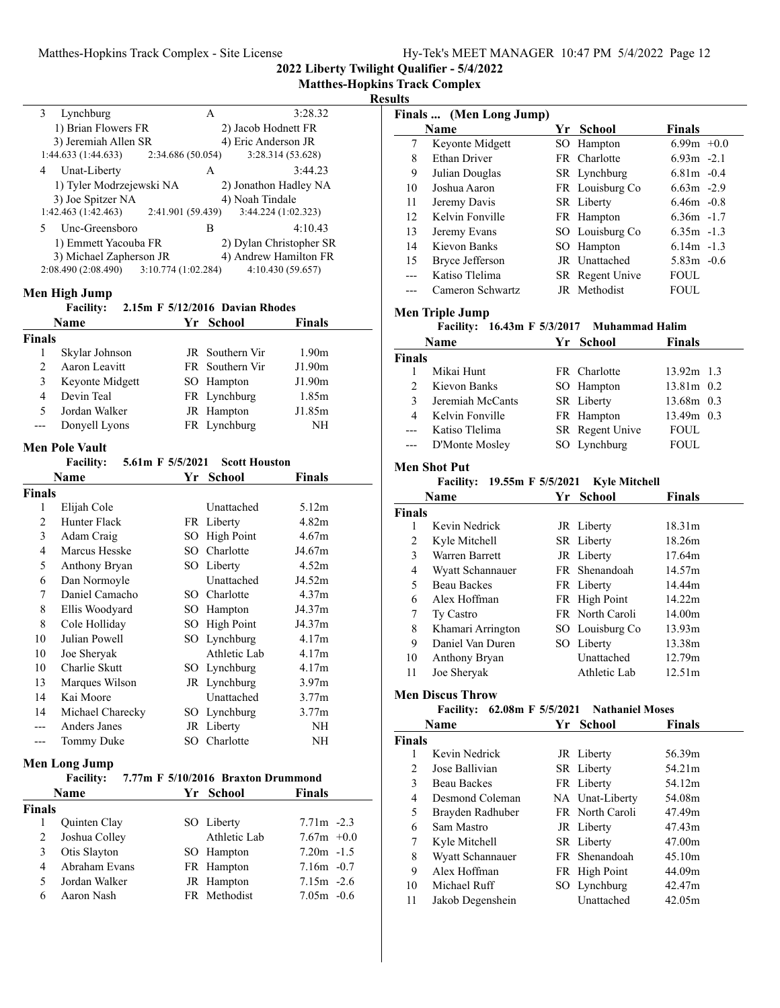**2022 Liberty Twilight Qualifier - 5/4/2022**

#### **Results**

| 3<br>Lynchburg           | A                  | 3:28.32                 |
|--------------------------|--------------------|-------------------------|
| 1) Brian Flowers FR      |                    | 2) Jacob Hodnett FR     |
| 3) Jeremiah Allen SR     |                    | 4) Eric Anderson JR     |
| 1:44.633 (1:44.633)      | 2:34.686 (50.054)  | 3:28.314 (53.628)       |
| Unat-Liberty<br>4        | A                  | 3:44.23                 |
| 1) Tyler Modrzejewski NA |                    | 2) Jonathon Hadley NA   |
| 3) Joe Spitzer NA        |                    | 4) Noah Tindale         |
| 1:42.463 (1:42.463)      | 2:41.901 (59.439)  | 3:44.224 (1:02.323)     |
| Unc-Greensboro<br>5      | В                  | 4:10.43                 |
| 1) Emmett Yacouba FR     |                    | 2) Dylan Christopher SR |
| 3) Michael Zapherson JR  |                    | 4) Andrew Hamilton FR   |
| 2:08.490 (2:08.490)      | 3:10.774(1:02.284) | 4:10.430(59.657)        |

#### **Men High Jump**

|               | <b>Facility:</b> | 2.15m F 5/12/2016 Davian Rhodes |                   |
|---------------|------------------|---------------------------------|-------------------|
|               | Name             | Yr School                       | <b>Finals</b>     |
| <b>Finals</b> |                  |                                 |                   |
|               | Skylar Johnson   | JR Southern Vir                 | 1.90 <sub>m</sub> |
| $\mathcal{L}$ | Aaron Leavitt    | FR Southern Vir                 | J1.90m            |
| 3             | Keyonte Midgett  | SO Hampton                      | J1.90m            |
| 4             | Devin Teal       | FR Lynchburg                    | 1.85m             |
| 5             | Jordan Walker    | JR Hampton                      | J1.85m            |

--- Donyell Lyons FR Lynchburg NH

## **Men Pole Vault**

**Facility:** 5.61m F 5/5/2021 Scott Houston

|               | Name             | Yr  | School            | Finals            |
|---------------|------------------|-----|-------------------|-------------------|
| <b>Finals</b> |                  |     |                   |                   |
| 1             | Elijah Cole      |     | Unattached        | 5.12m             |
| 2             | Hunter Flack     |     | FR Liberty        | 4.82m             |
| 3             | Adam Craig       | SО  | <b>High Point</b> | 4.67m             |
| 4             | Marcus Hesske    | SO. | Charlotte         | J4.67m            |
| 5             | Anthony Bryan    | SO  | Liberty           | 4.52m             |
| 6             | Dan Normoyle     |     | Unattached        | J4.52m            |
| 7             | Daniel Camacho   |     | SO Charlotte      | 4.37m             |
| 8             | Ellis Woodyard   | SО  | Hampton           | J4.37m            |
| 8             | Cole Holliday    | SО  | High Point        | J4.37m            |
| 10            | Julian Powell    |     | SO Lynchburg      | 4.17m             |
| 10            | Joe Sheryak      |     | Athletic Lab      | 4.17m             |
| 10            | Charlie Skutt    |     | SO Lynchburg      | 4.17m             |
| 13            | Marques Wilson   |     | JR Lynchburg      | 3.97 <sub>m</sub> |
| 14            | Kai Moore        |     | Unattached        | 3.77m             |
| 14            | Michael Charecky | SO  | Lynchburg         | 3.77m             |
|               | Anders Janes     |     | JR Liberty        | NH                |
|               | Tommy Duke       |     | SO Charlotte      | NΗ                |

#### **Men Long Jump**

|                | <b>Facility:</b>    | 7.77m F 5/10/2016 Braxton Drummond |               |
|----------------|---------------------|------------------------------------|---------------|
|                | Name                | Yr School                          | <b>Finals</b> |
| <b>Finals</b>  |                     |                                    |               |
|                | <b>Ouinten Clay</b> | SO Liberty                         | $7.71m - 2.3$ |
| 2              | Joshua Colley       | Athletic Lab                       | $7.67m +0.0$  |
| 3              | Otis Slayton        | SO Hampton                         | $7.20m -1.5$  |
| $\overline{4}$ | Abraham Evans       | FR Hampton                         | $7.16m - 0.7$ |
| 5              | Jordan Walker       | JR Hampton                         | $7.15m - 2.6$ |
| 6              | Aaron Nash          | FR Methodist                       | $7.05m - 0.6$ |

|                | Finals  (Men Long Jump)                                              |                        |               |
|----------------|----------------------------------------------------------------------|------------------------|---------------|
|                | <b>Name</b>                                                          | Yr School              | Finals        |
| 7              | Keyonte Midgett                                                      | SO Hampton             | $6.99m + 0.0$ |
| 8              | Ethan Driver                                                         | FR Charlotte           | $6.93m -2.1$  |
| 9              | Julian Douglas                                                       | SR Lynchburg           | $6.81m - 0.4$ |
| 10             | Joshua Aaron                                                         | FR Louisburg Co        | $6.63m -2.9$  |
| 11             | Jeremy Davis                                                         | SR Liberty             | $6.46m - 0.8$ |
| 12             | Kelvin Fonville                                                      | FR Hampton             | $6.36m - 1.7$ |
| 13             | Jeremy Evans                                                         | SO Louisburg Co        | $6.35m - 1.3$ |
| 14             | Kievon Banks                                                         | SO Hampton             | $6.14m - 1.3$ |
| 15             | Bryce Jefferson                                                      | JR Unattached          | $5.83m -0.6$  |
| $---$          | Katiso Tlelima                                                       | SR Regent Unive        | <b>FOUL</b>   |
| $---$          | Cameron Schwartz                                                     | JR Methodist           | <b>FOUL</b>   |
|                |                                                                      |                        |               |
|                | <b>Men Triple Jump</b><br>Facility: 16.43m F 5/3/2017 Muhammad Halim |                        |               |
|                | Name                                                                 |                        | Finals        |
| <b>Finals</b>  |                                                                      | Yr School              |               |
| 1              | Mikai Hunt                                                           | FR Charlotte           | 13.92m 1.3    |
| $\overline{2}$ | Kievon Banks                                                         | SO Hampton             | 13.81m 0.2    |
| 3              | Jeremiah McCants                                                     | SR Liberty             | 13.68m 0.3    |
| $\overline{4}$ | Kelvin Fonville                                                      | FR Hampton             | 13.49m 0.3    |
| ---            | Katiso Tlelima                                                       | SR Regent Unive        | FOUL          |
| ---            | D'Monte Mosley                                                       | SO Lynchburg           | <b>FOUL</b>   |
|                |                                                                      |                        |               |
|                | <b>Men Shot Put</b>                                                  |                        |               |
|                |                                                                      |                        |               |
|                | Facility: 19.55m F 5/5/2021 Kyle Mitchell                            |                        |               |
|                | Name                                                                 | Yr School              | Finals        |
| <b>Finals</b>  |                                                                      |                        |               |
| 1              | Kevin Nedrick                                                        | JR Liberty             | 18.31m        |
| 2              | Kyle Mitchell                                                        | SR Liberty             | 18.26m        |
| 3              | Warren Barrett                                                       | JR Liberty             | 17.64m        |
| $\overline{4}$ | Wyatt Schannauer                                                     | FR Shenandoah          | 14.57m        |
| 5              | <b>Beau Backes</b>                                                   | FR Liberty             | 14.44m        |
| 6              | Alex Hoffman                                                         | FR High Point          | 14.22m        |
| 7              | Ty Castro                                                            | FR North Caroli        | 14.00m        |
| 8              | Khamari Arrington                                                    | SO Louisburg Co        | 13.93m        |
| 9              | Daniel Van Duren                                                     | SO Liberty             | 13.38m        |
| 10             | Anthony Bryan                                                        | Unattached             | 12.79m        |
| 11             | Joe Sheryak                                                          | Athletic Lab           | 12.51m        |
|                | <b>Men Discus Throw</b>                                              |                        |               |
|                | Facility: 62.08m F 5/5/2021                                          | <b>Nathaniel Moses</b> |               |
|                | <b>Name</b>                                                          | Yr School              | Finals        |
| <b>Finals</b>  |                                                                      |                        |               |
| 1              | Kevin Nedrick                                                        | JR Liberty             | 56.39m        |
| $\overline{2}$ | Jose Ballivian                                                       | SR Liberty             | 54.21m        |
| 3              | <b>Beau Backes</b>                                                   | FR Liberty             | 54.12m        |
| 4              | Desmond Coleman                                                      | NA Unat-Liberty        | 54.08m        |
| 5              | Brayden Radhuber                                                     | FR North Caroli        | 47.49m        |
| 6              | Sam Mastro                                                           | JR Liberty             | 47.43m        |

8 Wyatt Schannauer FR Shenandoah 45.10m 9 Alex Hoffman FR High Point 44.09m<br>
10 Michael Ruff SO Lynchburg 42.47m 10 Michael Ruff SO Lynchburg 42.47m 11 42.05m Jakob Degenshein Unattached